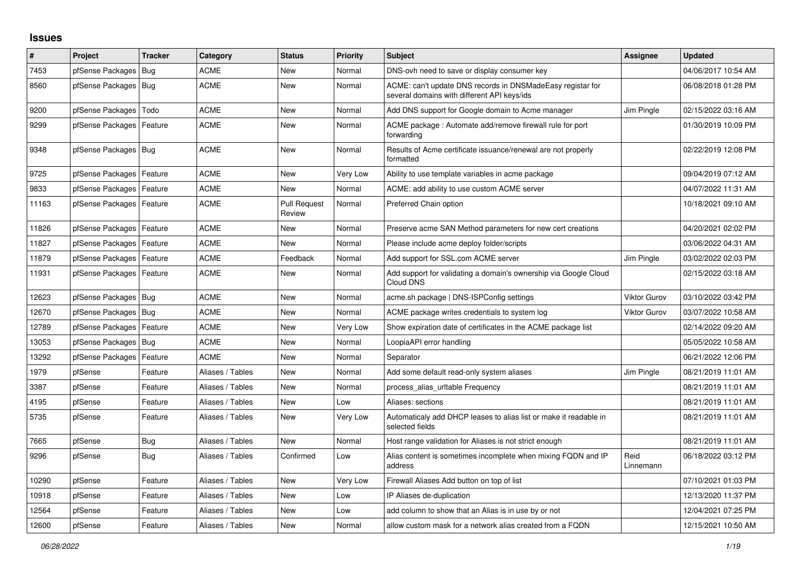## **Issues**

| #     | Project                    | <b>Tracker</b> | Category         | <b>Status</b>                 | <b>Priority</b> | <b>Subject</b>                                                                                            | <b>Assignee</b>     | <b>Updated</b>      |
|-------|----------------------------|----------------|------------------|-------------------------------|-----------------|-----------------------------------------------------------------------------------------------------------|---------------------|---------------------|
| 7453  | pfSense Packages           | <b>Bug</b>     | <b>ACME</b>      | New                           | Normal          | DNS-ovh need to save or display consumer key                                                              |                     | 04/06/2017 10:54 AM |
| 8560  | pfSense Packages   Bug     |                | ACME             | New                           | Normal          | ACME: can't update DNS records in DNSMadeEasy registar for<br>several domains with different API keys/ids |                     | 06/08/2018 01:28 PM |
| 9200  | pfSense Packages           | Todo           | <b>ACME</b>      | <b>New</b>                    | Normal          | Add DNS support for Google domain to Acme manager                                                         | Jim Pingle          | 02/15/2022 03:16 AM |
| 9299  | pfSense Packages   Feature |                | <b>ACME</b>      | New                           | Normal          | ACME package: Automate add/remove firewall rule for port<br>forwarding                                    |                     | 01/30/2019 10:09 PM |
| 9348  | pfSense Packages   Bug     |                | <b>ACME</b>      | <b>New</b>                    | Normal          | Results of Acme certificate issuance/renewal are not properly<br>formatted                                |                     | 02/22/2019 12:08 PM |
| 9725  | pfSense Packages   Feature |                | <b>ACME</b>      | New                           | Very Low        | Ability to use template variables in acme package                                                         |                     | 09/04/2019 07:12 AM |
| 9833  | pfSense Packages           | Feature        | <b>ACME</b>      | New                           | Normal          | ACME: add ability to use custom ACME server                                                               |                     | 04/07/2022 11:31 AM |
| 11163 | pfSense Packages           | Feature        | <b>ACME</b>      | <b>Pull Request</b><br>Review | Normal          | Preferred Chain option                                                                                    |                     | 10/18/2021 09:10 AM |
| 11826 | pfSense Packages           | Feature        | <b>ACME</b>      | <b>New</b>                    | Normal          | Preserve acme SAN Method parameters for new cert creations                                                |                     | 04/20/2021 02:02 PM |
| 11827 | pfSense Packages   Feature |                | ACME             | New                           | Normal          | Please include acme deploy folder/scripts                                                                 |                     | 03/06/2022 04:31 AM |
| 11879 | pfSense Packages   Feature |                | <b>ACME</b>      | Feedback                      | Normal          | Add support for SSL.com ACME server                                                                       | Jim Pingle          | 03/02/2022 02:03 PM |
| 11931 | pfSense Packages   Feature |                | <b>ACME</b>      | <b>New</b>                    | Normal          | Add support for validating a domain's ownership via Google Cloud<br>Cloud DNS                             |                     | 02/15/2022 03:18 AM |
| 12623 | pfSense Packages   Bug     |                | <b>ACME</b>      | <b>New</b>                    | Normal          | acme.sh package   DNS-ISPConfig settings                                                                  | <b>Viktor Gurov</b> | 03/10/2022 03:42 PM |
| 12670 | pfSense Packages   Bug     |                | <b>ACME</b>      | New                           | Normal          | ACME package writes credentials to system log                                                             | <b>Viktor Gurov</b> | 03/07/2022 10:58 AM |
| 12789 | pfSense Packages           | Feature        | <b>ACME</b>      | <b>New</b>                    | Very Low        | Show expiration date of certificates in the ACME package list                                             |                     | 02/14/2022 09:20 AM |
| 13053 | pfSense Packages           | Bug            | <b>ACME</b>      | <b>New</b>                    | Normal          | LoopiaAPI error handling                                                                                  |                     | 05/05/2022 10:58 AM |
| 13292 | pfSense Packages           | Feature        | <b>ACME</b>      | New                           | Normal          | Separator                                                                                                 |                     | 06/21/2022 12:06 PM |
| 1979  | pfSense                    | Feature        | Aliases / Tables | <b>New</b>                    | Normal          | Add some default read-only system aliases                                                                 | Jim Pingle          | 08/21/2019 11:01 AM |
| 3387  | pfSense                    | Feature        | Aliases / Tables | <b>New</b>                    | Normal          | process alias urltable Frequency                                                                          |                     | 08/21/2019 11:01 AM |
| 4195  | pfSense                    | Feature        | Aliases / Tables | New                           | Low             | Aliases: sections                                                                                         |                     | 08/21/2019 11:01 AM |
| 5735  | pfSense                    | Feature        | Aliases / Tables | New                           | Very Low        | Automaticaly add DHCP leases to alias list or make it readable in<br>selected fields                      |                     | 08/21/2019 11:01 AM |
| 7665  | pfSense                    | <b>Bug</b>     | Aliases / Tables | <b>New</b>                    | Normal          | Host range validation for Aliases is not strict enough                                                    |                     | 08/21/2019 11:01 AM |
| 9296  | pfSense                    | Bug            | Aliases / Tables | Confirmed                     | Low             | Alias content is sometimes incomplete when mixing FQDN and IP<br>address                                  | Reid<br>Linnemann   | 06/18/2022 03:12 PM |
| 10290 | pfSense                    | Feature        | Aliases / Tables | <b>New</b>                    | Very Low        | Firewall Aliases Add button on top of list                                                                |                     | 07/10/2021 01:03 PM |
| 10918 | pfSense                    | Feature        | Aliases / Tables | <b>New</b>                    | Low             | IP Aliases de-duplication                                                                                 |                     | 12/13/2020 11:37 PM |
| 12564 | pfSense                    | Feature        | Aliases / Tables | New                           | Low             | add column to show that an Alias is in use by or not                                                      |                     | 12/04/2021 07:25 PM |
| 12600 | pfSense                    | Feature        | Aliases / Tables | <b>New</b>                    | Normal          | allow custom mask for a network alias created from a FQDN                                                 |                     | 12/15/2021 10:50 AM |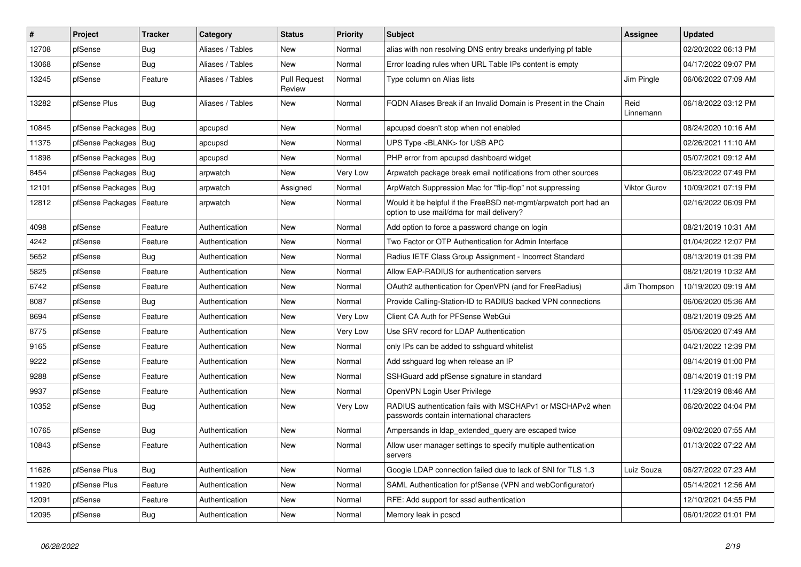| #     | <b>Project</b>             | <b>Tracker</b> | Category         | <b>Status</b>                 | Priority | <b>Subject</b>                                                                                                | <b>Assignee</b>     | <b>Updated</b>      |
|-------|----------------------------|----------------|------------------|-------------------------------|----------|---------------------------------------------------------------------------------------------------------------|---------------------|---------------------|
| 12708 | pfSense                    | Bug            | Aliases / Tables | <b>New</b>                    | Normal   | alias with non resolving DNS entry breaks underlying pf table                                                 |                     | 02/20/2022 06:13 PM |
| 13068 | pfSense                    | <b>Bug</b>     | Aliases / Tables | <b>New</b>                    | Normal   | Error loading rules when URL Table IPs content is empty                                                       |                     | 04/17/2022 09:07 PM |
| 13245 | pfSense                    | Feature        | Aliases / Tables | <b>Pull Request</b><br>Review | Normal   | Type column on Alias lists                                                                                    | Jim Pingle          | 06/06/2022 07:09 AM |
| 13282 | pfSense Plus               | Bug            | Aliases / Tables | New                           | Normal   | FQDN Aliases Break if an Invalid Domain is Present in the Chain                                               | Reid<br>Linnemann   | 06/18/2022 03:12 PM |
| 10845 | pfSense Packages           | <b>Bug</b>     | apcupsd          | <b>New</b>                    | Normal   | apcupsd doesn't stop when not enabled                                                                         |                     | 08/24/2020 10:16 AM |
| 11375 | pfSense Packages           | Bug            | apcupsd          | New                           | Normal   | UPS Type <blank> for USB APC</blank>                                                                          |                     | 02/26/2021 11:10 AM |
| 11898 | pfSense Packages   Bug     |                | apcupsd          | New                           | Normal   | PHP error from apcupsd dashboard widget                                                                       |                     | 05/07/2021 09:12 AM |
| 8454  | pfSense Packages           | Bug            | arpwatch         | New                           | Very Low | Arpwatch package break email notifications from other sources                                                 |                     | 06/23/2022 07:49 PM |
| 12101 | pfSense Packages           | Bug            | arpwatch         | Assigned                      | Normal   | ArpWatch Suppression Mac for "flip-flop" not suppressing                                                      | <b>Viktor Gurov</b> | 10/09/2021 07:19 PM |
| 12812 | pfSense Packages   Feature |                | arpwatch         | New                           | Normal   | Would it be helpful if the FreeBSD net-mgmt/arpwatch port had an<br>option to use mail/dma for mail delivery? |                     | 02/16/2022 06:09 PM |
| 4098  | pfSense                    | Feature        | Authentication   | New                           | Normal   | Add option to force a password change on login                                                                |                     | 08/21/2019 10:31 AM |
| 4242  | pfSense                    | Feature        | Authentication   | New                           | Normal   | Two Factor or OTP Authentication for Admin Interface                                                          |                     | 01/04/2022 12:07 PM |
| 5652  | pfSense                    | Bug            | Authentication   | <b>New</b>                    | Normal   | Radius IETF Class Group Assignment - Incorrect Standard                                                       |                     | 08/13/2019 01:39 PM |
| 5825  | pfSense                    | Feature        | Authentication   | <b>New</b>                    | Normal   | Allow EAP-RADIUS for authentication servers                                                                   |                     | 08/21/2019 10:32 AM |
| 6742  | pfSense                    | Feature        | Authentication   | <b>New</b>                    | Normal   | OAuth2 authentication for OpenVPN (and for FreeRadius)                                                        | Jim Thompson        | 10/19/2020 09:19 AM |
| 8087  | pfSense                    | Bug            | Authentication   | <b>New</b>                    | Normal   | Provide Calling-Station-ID to RADIUS backed VPN connections                                                   |                     | 06/06/2020 05:36 AM |
| 8694  | pfSense                    | Feature        | Authentication   | <b>New</b>                    | Very Low | Client CA Auth for PFSense WebGui                                                                             |                     | 08/21/2019 09:25 AM |
| 8775  | pfSense                    | Feature        | Authentication   | <b>New</b>                    | Very Low | Use SRV record for LDAP Authentication                                                                        |                     | 05/06/2020 07:49 AM |
| 9165  | pfSense                    | Feature        | Authentication   | <b>New</b>                    | Normal   | only IPs can be added to sshguard whitelist                                                                   |                     | 04/21/2022 12:39 PM |
| 9222  | pfSense                    | Feature        | Authentication   | <b>New</b>                    | Normal   | Add sshguard log when release an IP                                                                           |                     | 08/14/2019 01:00 PM |
| 9288  | pfSense                    | Feature        | Authentication   | <b>New</b>                    | Normal   | SSHGuard add pfSense signature in standard                                                                    |                     | 08/14/2019 01:19 PM |
| 9937  | pfSense                    | Feature        | Authentication   | New                           | Normal   | OpenVPN Login User Privilege                                                                                  |                     | 11/29/2019 08:46 AM |
| 10352 | pfSense                    | <b>Bug</b>     | Authentication   | <b>New</b>                    | Very Low | RADIUS authentication fails with MSCHAPv1 or MSCHAPv2 when<br>passwords contain international characters      |                     | 06/20/2022 04:04 PM |
| 10765 | pfSense                    | <b>Bug</b>     | Authentication   | <b>New</b>                    | Normal   | Ampersands in Idap_extended_query are escaped twice                                                           |                     | 09/02/2020 07:55 AM |
| 10843 | pfSense                    | Feature        | Authentication   | <b>New</b>                    | Normal   | Allow user manager settings to specify multiple authentication<br>servers                                     |                     | 01/13/2022 07:22 AM |
| 11626 | pfSense Plus               | <b>Bug</b>     | Authentication   | <b>New</b>                    | Normal   | Google LDAP connection failed due to lack of SNI for TLS 1.3                                                  | Luiz Souza          | 06/27/2022 07:23 AM |
| 11920 | pfSense Plus               | Feature        | Authentication   | <b>New</b>                    | Normal   | SAML Authentication for pfSense (VPN and webConfigurator)                                                     |                     | 05/14/2021 12:56 AM |
| 12091 | pfSense                    | Feature        | Authentication   | <b>New</b>                    | Normal   | RFE: Add support for sssd authentication                                                                      |                     | 12/10/2021 04:55 PM |
| 12095 | pfSense                    | <b>Bug</b>     | Authentication   | <b>New</b>                    | Normal   | Memory leak in pcscd                                                                                          |                     | 06/01/2022 01:01 PM |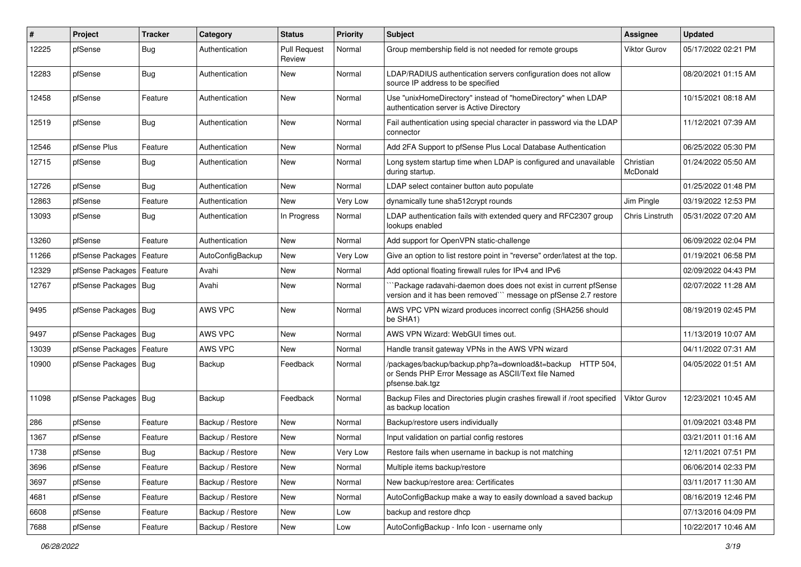| ∦     | Project                | Tracker    | Category         | <b>Status</b>                 | <b>Priority</b> | Subject                                                                                                                             | <b>Assignee</b>       | <b>Updated</b>      |
|-------|------------------------|------------|------------------|-------------------------------|-----------------|-------------------------------------------------------------------------------------------------------------------------------------|-----------------------|---------------------|
| 12225 | pfSense                | <b>Bug</b> | Authentication   | <b>Pull Request</b><br>Review | Normal          | Group membership field is not needed for remote groups                                                                              | <b>Viktor Gurov</b>   | 05/17/2022 02:21 PM |
| 12283 | pfSense                | Bug        | Authentication   | New                           | Normal          | LDAP/RADIUS authentication servers configuration does not allow<br>source IP address to be specified                                |                       | 08/20/2021 01:15 AM |
| 12458 | pfSense                | Feature    | Authentication   | <b>New</b>                    | Normal          | Use "unixHomeDirectory" instead of "homeDirectory" when LDAP<br>authentication server is Active Directory                           |                       | 10/15/2021 08:18 AM |
| 12519 | pfSense                | Bug        | Authentication   | New                           | Normal          | Fail authentication using special character in password via the LDAP<br>connector                                                   |                       | 11/12/2021 07:39 AM |
| 12546 | pfSense Plus           | Feature    | Authentication   | New                           | Normal          | Add 2FA Support to pfSense Plus Local Database Authentication                                                                       |                       | 06/25/2022 05:30 PM |
| 12715 | pfSense                | <b>Bug</b> | Authentication   | New                           | Normal          | Long system startup time when LDAP is configured and unavailable<br>during startup.                                                 | Christian<br>McDonald | 01/24/2022 05:50 AM |
| 12726 | pfSense                | Bug        | Authentication   | <b>New</b>                    | Normal          | LDAP select container button auto populate                                                                                          |                       | 01/25/2022 01:48 PM |
| 12863 | pfSense                | Feature    | Authentication   | <b>New</b>                    | Very Low        | dynamically tune sha512crypt rounds                                                                                                 | Jim Pingle            | 03/19/2022 12:53 PM |
| 13093 | pfSense                | Bug        | Authentication   | In Progress                   | Normal          | LDAP authentication fails with extended query and RFC2307 group<br>lookups enabled                                                  | Chris Linstruth       | 05/31/2022 07:20 AM |
| 13260 | pfSense                | Feature    | Authentication   | <b>New</b>                    | Normal          | Add support for OpenVPN static-challenge                                                                                            |                       | 06/09/2022 02:04 PM |
| 11266 | pfSense Packages       | Feature    | AutoConfigBackup | New                           | Very Low        | Give an option to list restore point in "reverse" order/latest at the top.                                                          |                       | 01/19/2021 06:58 PM |
| 12329 | pfSense Packages       | Feature    | Avahi            | <b>New</b>                    | Normal          | Add optional floating firewall rules for IPv4 and IPv6                                                                              |                       | 02/09/2022 04:43 PM |
| 12767 | pfSense Packages   Bug |            | Avahi            | New                           | Normal          | Package radavahi-daemon does does not exist in current pfSense<br>version and it has been removed``` message on pfSense 2.7 restore |                       | 02/07/2022 11:28 AM |
| 9495  | pfSense Packages   Bug |            | AWS VPC          | New                           | Normal          | AWS VPC VPN wizard produces incorrect config (SHA256 should<br>be SHA1)                                                             |                       | 08/19/2019 02:45 PM |
| 9497  | pfSense Packages   Bug |            | AWS VPC          | New                           | Normal          | AWS VPN Wizard: WebGUI times out.                                                                                                   |                       | 11/13/2019 10:07 AM |
| 13039 | pfSense Packages       | Feature    | AWS VPC          | <b>New</b>                    | Normal          | Handle transit gateway VPNs in the AWS VPN wizard                                                                                   |                       | 04/11/2022 07:31 AM |
| 10900 | pfSense Packages   Bug |            | Backup           | Feedback                      | Normal          | /packages/backup/backup.php?a=download&t=backup HTTP 504,<br>or Sends PHP Error Message as ASCII/Text file Named<br>pfsense.bak.tgz |                       | 04/05/2022 01:51 AM |
| 11098 | pfSense Packages   Bug |            | Backup           | Feedback                      | Normal          | Backup Files and Directories plugin crashes firewall if /root specified<br>as backup location                                       | Viktor Gurov          | 12/23/2021 10:45 AM |
| 286   | pfSense                | Feature    | Backup / Restore | New                           | Normal          | Backup/restore users individually                                                                                                   |                       | 01/09/2021 03:48 PM |
| 1367  | pfSense                | Feature    | Backup / Restore | <b>New</b>                    | Normal          | Input validation on partial config restores                                                                                         |                       | 03/21/2011 01:16 AM |
| 1738  | pfSense                | Bug        | Backup / Restore | New                           | Very Low        | Restore fails when username in backup is not matching                                                                               |                       | 12/11/2021 07:51 PM |
| 3696  | pfSense                | Feature    | Backup / Restore | New                           | Normal          | Multiple items backup/restore                                                                                                       |                       | 06/06/2014 02:33 PM |
| 3697  | pfSense                | Feature    | Backup / Restore | New                           | Normal          | New backup/restore area: Certificates                                                                                               |                       | 03/11/2017 11:30 AM |
| 4681  | pfSense                | Feature    | Backup / Restore | New                           | Normal          | AutoConfigBackup make a way to easily download a saved backup                                                                       |                       | 08/16/2019 12:46 PM |
| 6608  | pfSense                | Feature    | Backup / Restore | New                           | Low             | backup and restore dhcp                                                                                                             |                       | 07/13/2016 04:09 PM |
| 7688  | pfSense                | Feature    | Backup / Restore | New                           | Low             | AutoConfigBackup - Info Icon - username only                                                                                        |                       | 10/22/2017 10:46 AM |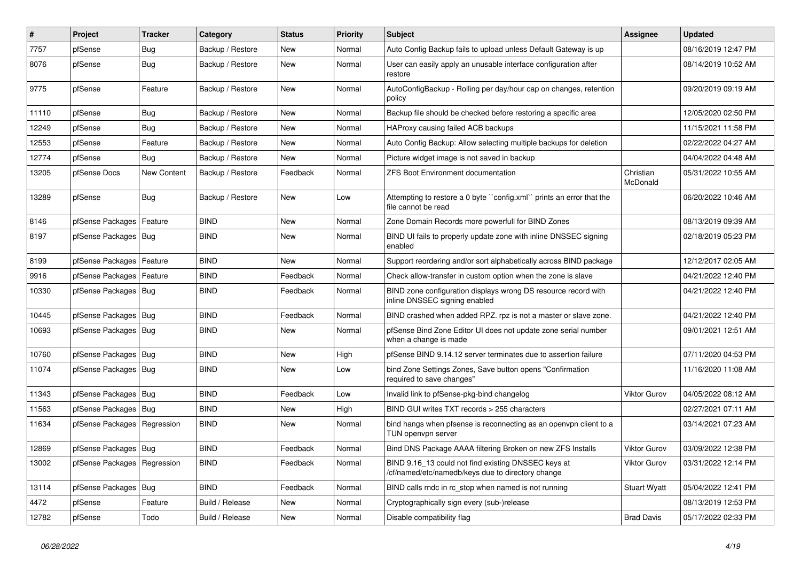| $\vert$ # | Project                       | <b>Tracker</b> | Category         | <b>Status</b> | <b>Priority</b> | Subject                                                                                                  | Assignee              | <b>Updated</b>      |
|-----------|-------------------------------|----------------|------------------|---------------|-----------------|----------------------------------------------------------------------------------------------------------|-----------------------|---------------------|
| 7757      | pfSense                       | Bug            | Backup / Restore | New           | Normal          | Auto Config Backup fails to upload unless Default Gateway is up                                          |                       | 08/16/2019 12:47 PM |
| 8076      | pfSense                       | Bug            | Backup / Restore | New           | Normal          | User can easily apply an unusable interface configuration after<br>restore                               |                       | 08/14/2019 10:52 AM |
| 9775      | pfSense                       | Feature        | Backup / Restore | <b>New</b>    | Normal          | AutoConfigBackup - Rolling per day/hour cap on changes, retention<br>policy                              |                       | 09/20/2019 09:19 AM |
| 11110     | pfSense                       | Bug            | Backup / Restore | New           | Normal          | Backup file should be checked before restoring a specific area                                           |                       | 12/05/2020 02:50 PM |
| 12249     | pfSense                       | <b>Bug</b>     | Backup / Restore | New           | Normal          | HAProxy causing failed ACB backups                                                                       |                       | 11/15/2021 11:58 PM |
| 12553     | pfSense                       | Feature        | Backup / Restore | <b>New</b>    | Normal          | Auto Config Backup: Allow selecting multiple backups for deletion                                        |                       | 02/22/2022 04:27 AM |
| 12774     | pfSense                       | Bug            | Backup / Restore | New           | Normal          | Picture widget image is not saved in backup                                                              |                       | 04/04/2022 04:48 AM |
| 13205     | pfSense Docs                  | New Content    | Backup / Restore | Feedback      | Normal          | <b>ZFS Boot Environment documentation</b>                                                                | Christian<br>McDonald | 05/31/2022 10:55 AM |
| 13289     | pfSense                       | <b>Bug</b>     | Backup / Restore | New           | Low             | Attempting to restore a 0 byte "config.xml" prints an error that the<br>file cannot be read              |                       | 06/20/2022 10:46 AM |
| 8146      | pfSense Packages              | Feature        | <b>BIND</b>      | New           | Normal          | Zone Domain Records more powerfull for BIND Zones                                                        |                       | 08/13/2019 09:39 AM |
| 8197      | pfSense Packages   Bug        |                | <b>BIND</b>      | New           | Normal          | BIND UI fails to properly update zone with inline DNSSEC signing<br>enabled                              |                       | 02/18/2019 05:23 PM |
| 8199      | pfSense Packages              | Feature        | <b>BIND</b>      | <b>New</b>    | Normal          | Support reordering and/or sort alphabetically across BIND package                                        |                       | 12/12/2017 02:05 AM |
| 9916      | pfSense Packages              | Feature        | <b>BIND</b>      | Feedback      | Normal          | Check allow-transfer in custom option when the zone is slave                                             |                       | 04/21/2022 12:40 PM |
| 10330     | pfSense Packages   Bug        |                | <b>BIND</b>      | Feedback      | Normal          | BIND zone configuration displays wrong DS resource record with<br>inline DNSSEC signing enabled          |                       | 04/21/2022 12:40 PM |
| 10445     | pfSense Packages   Bug        |                | <b>BIND</b>      | Feedback      | Normal          | BIND crashed when added RPZ. rpz is not a master or slave zone.                                          |                       | 04/21/2022 12:40 PM |
| 10693     | pfSense Packages   Bug        |                | <b>BIND</b>      | New           | Normal          | pfSense Bind Zone Editor UI does not update zone serial number<br>when a change is made                  |                       | 09/01/2021 12:51 AM |
| 10760     | pfSense Packages              | Bug            | <b>BIND</b>      | <b>New</b>    | High            | pfSense BIND 9.14.12 server terminates due to assertion failure                                          |                       | 07/11/2020 04:53 PM |
| 11074     | pfSense Packages   Bug        |                | <b>BIND</b>      | New           | Low             | bind Zone Settings Zones, Save button opens "Confirmation"<br>required to save changes"                  |                       | 11/16/2020 11:08 AM |
| 11343     | pfSense Packages              | Bug            | <b>BIND</b>      | Feedback      | Low             | Invalid link to pfSense-pkg-bind changelog                                                               | Viktor Gurov          | 04/05/2022 08:12 AM |
| 11563     | pfSense Packages   Bug        |                | <b>BIND</b>      | New           | High            | BIND GUI writes TXT records > 255 characters                                                             |                       | 02/27/2021 07:11 AM |
| 11634     | pfSense Packages              | Regression     | <b>BIND</b>      | <b>New</b>    | Normal          | bind hangs when pfsense is reconnecting as an openvpn client to a<br>TUN openvpn server                  |                       | 03/14/2021 07:23 AM |
| 12869     | pfSense Packages   Bug        |                | <b>BIND</b>      | Feedback      | Normal          | Bind DNS Package AAAA filtering Broken on new ZFS Installs                                               | Viktor Gurov          | 03/09/2022 12:38 PM |
| 13002     | pfSense Packages   Regression |                | <b>BIND</b>      | Feedback      | Normal          | BIND 9.16_13 could not find existing DNSSEC keys at<br>/cf/named/etc/namedb/keys due to directory change | Viktor Gurov          | 03/31/2022 12:14 PM |
| 13114     | pfSense Packages   Bug        |                | <b>BIND</b>      | Feedback      | Normal          | BIND calls rndc in rc stop when named is not running                                                     | <b>Stuart Wyatt</b>   | 05/04/2022 12:41 PM |
| 4472      | pfSense                       | Feature        | Build / Release  | New           | Normal          | Cryptographically sign every (sub-)release                                                               |                       | 08/13/2019 12:53 PM |
| 12782     | pfSense                       | Todo           | Build / Release  | New           | Normal          | Disable compatibility flag                                                                               | <b>Brad Davis</b>     | 05/17/2022 02:33 PM |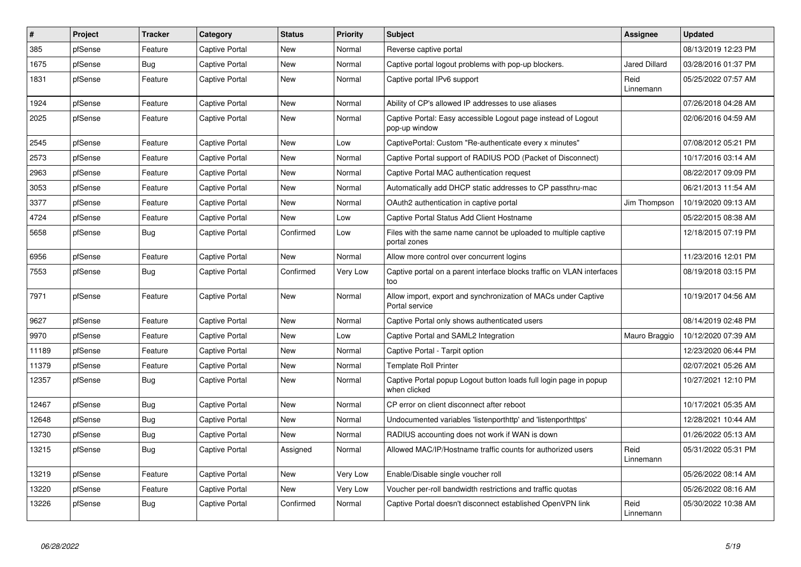| $\vert$ # | Project | <b>Tracker</b> | Category              | <b>Status</b> | Priority | <b>Subject</b>                                                                    | <b>Assignee</b>      | <b>Updated</b>      |
|-----------|---------|----------------|-----------------------|---------------|----------|-----------------------------------------------------------------------------------|----------------------|---------------------|
| 385       | pfSense | Feature        | Captive Portal        | <b>New</b>    | Normal   | Reverse captive portal                                                            |                      | 08/13/2019 12:23 PM |
| 1675      | pfSense | <b>Bug</b>     | <b>Captive Portal</b> | <b>New</b>    | Normal   | Captive portal logout problems with pop-up blockers.                              | <b>Jared Dillard</b> | 03/28/2016 01:37 PM |
| 1831      | pfSense | Feature        | <b>Captive Portal</b> | <b>New</b>    | Normal   | Captive portal IPv6 support                                                       | Reid<br>Linnemann    | 05/25/2022 07:57 AM |
| 1924      | pfSense | Feature        | <b>Captive Portal</b> | <b>New</b>    | Normal   | Ability of CP's allowed IP addresses to use aliases                               |                      | 07/26/2018 04:28 AM |
| 2025      | pfSense | Feature        | Captive Portal        | <b>New</b>    | Normal   | Captive Portal: Easy accessible Logout page instead of Logout<br>pop-up window    |                      | 02/06/2016 04:59 AM |
| 2545      | pfSense | Feature        | <b>Captive Portal</b> | <b>New</b>    | Low      | CaptivePortal: Custom "Re-authenticate every x minutes"                           |                      | 07/08/2012 05:21 PM |
| 2573      | pfSense | Feature        | Captive Portal        | <b>New</b>    | Normal   | Captive Portal support of RADIUS POD (Packet of Disconnect)                       |                      | 10/17/2016 03:14 AM |
| 2963      | pfSense | Feature        | Captive Portal        | New           | Normal   | Captive Portal MAC authentication request                                         |                      | 08/22/2017 09:09 PM |
| 3053      | pfSense | Feature        | <b>Captive Portal</b> | <b>New</b>    | Normal   | Automatically add DHCP static addresses to CP passthru-mac                        |                      | 06/21/2013 11:54 AM |
| 3377      | pfSense | Feature        | Captive Portal        | New           | Normal   | OAuth2 authentication in captive portal                                           | Jim Thompson         | 10/19/2020 09:13 AM |
| 4724      | pfSense | Feature        | Captive Portal        | New           | Low      | Captive Portal Status Add Client Hostname                                         |                      | 05/22/2015 08:38 AM |
| 5658      | pfSense | Bug            | <b>Captive Portal</b> | Confirmed     | Low      | Files with the same name cannot be uploaded to multiple captive<br>portal zones   |                      | 12/18/2015 07:19 PM |
| 6956      | pfSense | Feature        | <b>Captive Portal</b> | New           | Normal   | Allow more control over concurrent logins                                         |                      | 11/23/2016 12:01 PM |
| 7553      | pfSense | Bug            | <b>Captive Portal</b> | Confirmed     | Very Low | Captive portal on a parent interface blocks traffic on VLAN interfaces<br>too     |                      | 08/19/2018 03:15 PM |
| 7971      | pfSense | Feature        | <b>Captive Portal</b> | <b>New</b>    | Normal   | Allow import, export and synchronization of MACs under Captive<br>Portal service  |                      | 10/19/2017 04:56 AM |
| 9627      | pfSense | Feature        | <b>Captive Portal</b> | <b>New</b>    | Normal   | Captive Portal only shows authenticated users                                     |                      | 08/14/2019 02:48 PM |
| 9970      | pfSense | Feature        | <b>Captive Portal</b> | <b>New</b>    | Low      | Captive Portal and SAML2 Integration                                              | Mauro Braggio        | 10/12/2020 07:39 AM |
| 11189     | pfSense | Feature        | Captive Portal        | New           | Normal   | Captive Portal - Tarpit option                                                    |                      | 12/23/2020 06:44 PM |
| 11379     | pfSense | Feature        | <b>Captive Portal</b> | New           | Normal   | <b>Template Roll Printer</b>                                                      |                      | 02/07/2021 05:26 AM |
| 12357     | pfSense | Bug            | Captive Portal        | New           | Normal   | Captive Portal popup Logout button loads full login page in popup<br>when clicked |                      | 10/27/2021 12:10 PM |
| 12467     | pfSense | Bug            | <b>Captive Portal</b> | <b>New</b>    | Normal   | CP error on client disconnect after reboot                                        |                      | 10/17/2021 05:35 AM |
| 12648     | pfSense | Bug            | <b>Captive Portal</b> | <b>New</b>    | Normal   | Undocumented variables 'listenporthttp' and 'listenporthttps'                     |                      | 12/28/2021 10:44 AM |
| 12730     | pfSense | Bug            | Captive Portal        | New           | Normal   | RADIUS accounting does not work if WAN is down                                    |                      | 01/26/2022 05:13 AM |
| 13215     | pfSense | <b>Bug</b>     | Captive Portal        | Assigned      | Normal   | Allowed MAC/IP/Hostname traffic counts for authorized users                       | Reid<br>Linnemann    | 05/31/2022 05:31 PM |
| 13219     | pfSense | Feature        | <b>Captive Portal</b> | <b>New</b>    | Very Low | Enable/Disable single voucher roll                                                |                      | 05/26/2022 08:14 AM |
| 13220     | pfSense | Feature        | <b>Captive Portal</b> | <b>New</b>    | Very Low | Voucher per-roll bandwidth restrictions and traffic quotas                        |                      | 05/26/2022 08:16 AM |
| 13226     | pfSense | Bug            | <b>Captive Portal</b> | Confirmed     | Normal   | Captive Portal doesn't disconnect established OpenVPN link                        | Reid<br>Linnemann    | 05/30/2022 10:38 AM |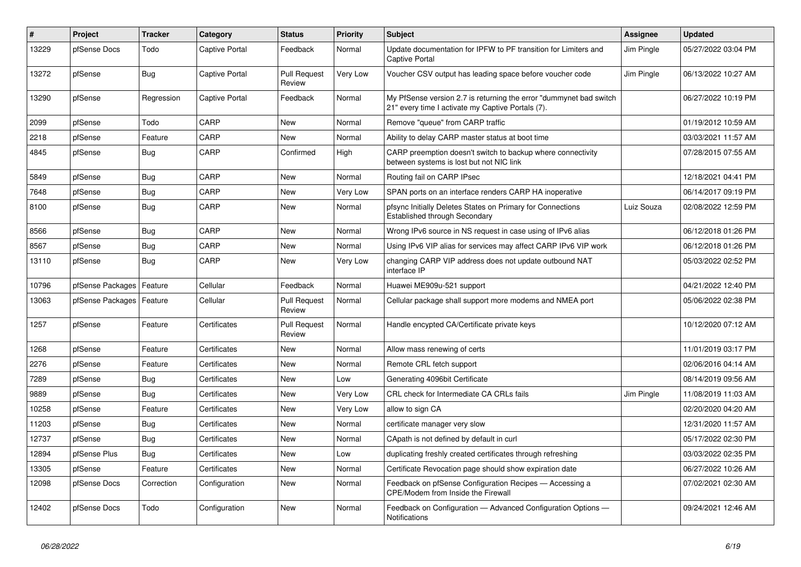| $\vert$ # | Project          | <b>Tracker</b> | Category              | <b>Status</b>                 | <b>Priority</b> | <b>Subject</b>                                                                                                          | <b>Assignee</b> | <b>Updated</b>      |
|-----------|------------------|----------------|-----------------------|-------------------------------|-----------------|-------------------------------------------------------------------------------------------------------------------------|-----------------|---------------------|
| 13229     | pfSense Docs     | Todo           | Captive Portal        | Feedback                      | Normal          | Update documentation for IPFW to PF transition for Limiters and<br><b>Captive Portal</b>                                | Jim Pingle      | 05/27/2022 03:04 PM |
| 13272     | pfSense          | Bug            | <b>Captive Portal</b> | <b>Pull Request</b><br>Review | Very Low        | Voucher CSV output has leading space before voucher code                                                                | Jim Pingle      | 06/13/2022 10:27 AM |
| 13290     | pfSense          | Regression     | <b>Captive Portal</b> | Feedback                      | Normal          | My PfSense version 2.7 is returning the error "dummynet bad switch<br>21" every time I activate my Captive Portals (7). |                 | 06/27/2022 10:19 PM |
| 2099      | pfSense          | Todo           | CARP                  | New                           | Normal          | Remove "queue" from CARP traffic                                                                                        |                 | 01/19/2012 10:59 AM |
| 2218      | pfSense          | Feature        | CARP                  | <b>New</b>                    | Normal          | Ability to delay CARP master status at boot time                                                                        |                 | 03/03/2021 11:57 AM |
| 4845      | pfSense          | <b>Bug</b>     | CARP                  | Confirmed                     | High            | CARP preemption doesn't switch to backup where connectivity<br>between systems is lost but not NIC link                 |                 | 07/28/2015 07:55 AM |
| 5849      | pfSense          | <b>Bug</b>     | CARP                  | New                           | Normal          | Routing fail on CARP IPsec                                                                                              |                 | 12/18/2021 04:41 PM |
| 7648      | pfSense          | <b>Bug</b>     | CARP                  | New                           | Very Low        | SPAN ports on an interface renders CARP HA inoperative                                                                  |                 | 06/14/2017 09:19 PM |
| 8100      | pfSense          | <b>Bug</b>     | CARP                  | New                           | Normal          | pfsync Initially Deletes States on Primary for Connections<br><b>Established through Secondary</b>                      | Luiz Souza      | 02/08/2022 12:59 PM |
| 8566      | pfSense          | <b>Bug</b>     | CARP                  | <b>New</b>                    | Normal          | Wrong IPv6 source in NS request in case using of IPv6 alias                                                             |                 | 06/12/2018 01:26 PM |
| 8567      | pfSense          | Bug            | CARP                  | New                           | Normal          | Using IPv6 VIP alias for services may affect CARP IPv6 VIP work                                                         |                 | 06/12/2018 01:26 PM |
| 13110     | pfSense          | Bug            | CARP                  | New                           | Very Low        | changing CARP VIP address does not update outbound NAT<br>interface IP                                                  |                 | 05/03/2022 02:52 PM |
| 10796     | pfSense Packages | Feature        | Cellular              | Feedback                      | Normal          | Huawei ME909u-521 support                                                                                               |                 | 04/21/2022 12:40 PM |
| 13063     | pfSense Packages | Feature        | Cellular              | <b>Pull Request</b><br>Review | Normal          | Cellular package shall support more modems and NMEA port                                                                |                 | 05/06/2022 02:38 PM |
| 1257      | pfSense          | Feature        | Certificates          | <b>Pull Request</b><br>Review | Normal          | Handle encypted CA/Certificate private keys                                                                             |                 | 10/12/2020 07:12 AM |
| 1268      | pfSense          | Feature        | Certificates          | New                           | Normal          | Allow mass renewing of certs                                                                                            |                 | 11/01/2019 03:17 PM |
| 2276      | pfSense          | Feature        | Certificates          | New                           | Normal          | Remote CRL fetch support                                                                                                |                 | 02/06/2016 04:14 AM |
| 7289      | pfSense          | <b>Bug</b>     | Certificates          | New                           | Low             | Generating 4096bit Certificate                                                                                          |                 | 08/14/2019 09:56 AM |
| 9889      | pfSense          | <b>Bug</b>     | Certificates          | New                           | Very Low        | CRL check for Intermediate CA CRLs fails                                                                                | Jim Pingle      | 11/08/2019 11:03 AM |
| 10258     | pfSense          | Feature        | Certificates          | <b>New</b>                    | Very Low        | allow to sign CA                                                                                                        |                 | 02/20/2020 04:20 AM |
| 11203     | pfSense          | <b>Bug</b>     | Certificates          | <b>New</b>                    | Normal          | certificate manager very slow                                                                                           |                 | 12/31/2020 11:57 AM |
| 12737     | pfSense          | <b>Bug</b>     | Certificates          | New                           | Normal          | CApath is not defined by default in curl                                                                                |                 | 05/17/2022 02:30 PM |
| 12894     | pfSense Plus     | <b>Bug</b>     | Certificates          | New                           | Low             | duplicating freshly created certificates through refreshing                                                             |                 | 03/03/2022 02:35 PM |
| 13305     | pfSense          | Feature        | Certificates          | New                           | Normal          | Certificate Revocation page should show expiration date                                                                 |                 | 06/27/2022 10:26 AM |
| 12098     | pfSense Docs     | Correction     | Configuration         | New                           | Normal          | Feedback on pfSense Configuration Recipes - Accessing a<br>CPE/Modem from Inside the Firewall                           |                 | 07/02/2021 02:30 AM |
| 12402     | pfSense Docs     | Todo           | Configuration         | <b>New</b>                    | Normal          | Feedback on Configuration - Advanced Configuration Options -<br>Notifications                                           |                 | 09/24/2021 12:46 AM |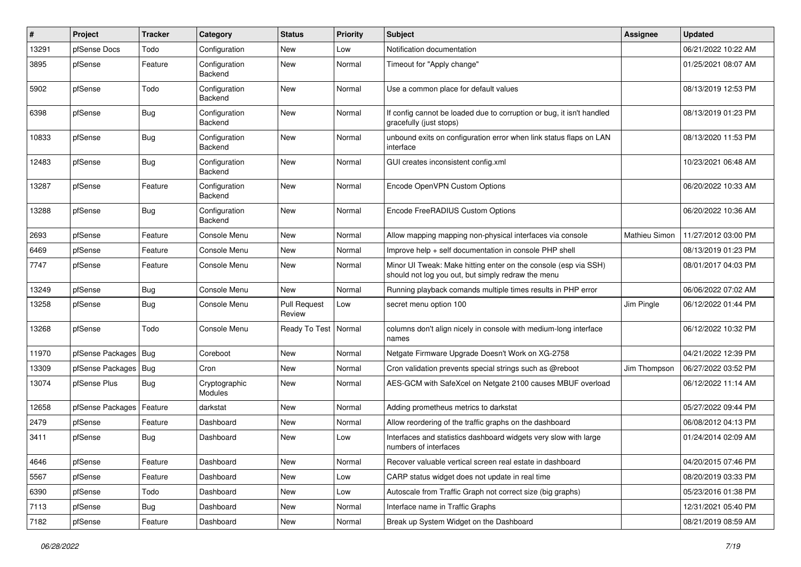| #     | Project                    | <b>Tracker</b> | Category                        | <b>Status</b>                 | <b>Priority</b> | <b>Subject</b>                                                                                                        | Assignee      | <b>Updated</b>      |
|-------|----------------------------|----------------|---------------------------------|-------------------------------|-----------------|-----------------------------------------------------------------------------------------------------------------------|---------------|---------------------|
| 13291 | pfSense Docs               | Todo           | Configuration                   | New                           | Low             | Notification documentation                                                                                            |               | 06/21/2022 10:22 AM |
| 3895  | pfSense                    | Feature        | Configuration<br>Backend        | <b>New</b>                    | Normal          | Timeout for "Apply change"                                                                                            |               | 01/25/2021 08:07 AM |
| 5902  | pfSense                    | Todo           | Configuration<br>Backend        | <b>New</b>                    | Normal          | Use a common place for default values                                                                                 |               | 08/13/2019 12:53 PM |
| 6398  | pfSense                    | Bug            | Configuration<br><b>Backend</b> | New                           | Normal          | If config cannot be loaded due to corruption or bug, it isn't handled<br>gracefully (just stops)                      |               | 08/13/2019 01:23 PM |
| 10833 | pfSense                    | <b>Bug</b>     | Configuration<br><b>Backend</b> | New                           | Normal          | unbound exits on configuration error when link status flaps on LAN<br>interface                                       |               | 08/13/2020 11:53 PM |
| 12483 | pfSense                    | Bug            | Configuration<br><b>Backend</b> | New                           | Normal          | GUI creates inconsistent config.xml                                                                                   |               | 10/23/2021 06:48 AM |
| 13287 | pfSense                    | Feature        | Configuration<br>Backend        | New                           | Normal          | Encode OpenVPN Custom Options                                                                                         |               | 06/20/2022 10:33 AM |
| 13288 | pfSense                    | Bug            | Configuration<br><b>Backend</b> | New                           | Normal          | Encode FreeRADIUS Custom Options                                                                                      |               | 06/20/2022 10:36 AM |
| 2693  | pfSense                    | Feature        | Console Menu                    | New                           | Normal          | Allow mapping mapping non-physical interfaces via console                                                             | Mathieu Simon | 11/27/2012 03:00 PM |
| 6469  | pfSense                    | Feature        | Console Menu                    | New                           | Normal          | Improve help + self documentation in console PHP shell                                                                |               | 08/13/2019 01:23 PM |
| 7747  | pfSense                    | Feature        | Console Menu                    | New                           | Normal          | Minor UI Tweak: Make hitting enter on the console (esp via SSH)<br>should not log you out, but simply redraw the menu |               | 08/01/2017 04:03 PM |
| 13249 | pfSense                    | Bug            | Console Menu                    | <b>New</b>                    | Normal          | Running playback comands multiple times results in PHP error                                                          |               | 06/06/2022 07:02 AM |
| 13258 | pfSense                    | <b>Bug</b>     | Console Menu                    | <b>Pull Request</b><br>Review | Low             | secret menu option 100                                                                                                | Jim Pingle    | 06/12/2022 01:44 PM |
| 13268 | pfSense                    | Todo           | Console Menu                    | Ready To Test                 | Normal          | columns don't align nicely in console with medium-long interface<br>names                                             |               | 06/12/2022 10:32 PM |
| 11970 | pfSense Packages   Bug     |                | Coreboot                        | New                           | Normal          | Netgate Firmware Upgrade Doesn't Work on XG-2758                                                                      |               | 04/21/2022 12:39 PM |
| 13309 | pfSense Packages           | Bug            | Cron                            | <b>New</b>                    | Normal          | Cron validation prevents special strings such as @reboot                                                              | Jim Thompson  | 06/27/2022 03:52 PM |
| 13074 | pfSense Plus               | <b>Bug</b>     | Cryptographic<br>Modules        | New                           | Normal          | AES-GCM with SafeXcel on Netgate 2100 causes MBUF overload                                                            |               | 06/12/2022 11:14 AM |
| 12658 | pfSense Packages   Feature |                | darkstat                        | New                           | Normal          | Adding prometheus metrics to darkstat                                                                                 |               | 05/27/2022 09:44 PM |
| 2479  | pfSense                    | Feature        | Dashboard                       | <b>New</b>                    | Normal          | Allow reordering of the traffic graphs on the dashboard                                                               |               | 06/08/2012 04:13 PM |
| 3411  | pfSense                    | Bug            | Dashboard                       | New                           | Low             | Interfaces and statistics dashboard widgets very slow with large<br>numbers of interfaces                             |               | 01/24/2014 02:09 AM |
| 4646  | pfSense                    | Feature        | Dashboard                       | New                           | Normal          | Recover valuable vertical screen real estate in dashboard                                                             |               | 04/20/2015 07:46 PM |
| 5567  | pfSense                    | Feature        | Dashboard                       | New                           | Low             | CARP status widget does not update in real time                                                                       |               | 08/20/2019 03:33 PM |
| 6390  | pfSense                    | Todo           | Dashboard                       | New                           | Low             | Autoscale from Traffic Graph not correct size (big graphs)                                                            |               | 05/23/2016 01:38 PM |
| 7113  | pfSense                    | <b>Bug</b>     | Dashboard                       | New                           | Normal          | Interface name in Traffic Graphs                                                                                      |               | 12/31/2021 05:40 PM |
| 7182  | pfSense                    | Feature        | Dashboard                       | New                           | Normal          | Break up System Widget on the Dashboard                                                                               |               | 08/21/2019 08:59 AM |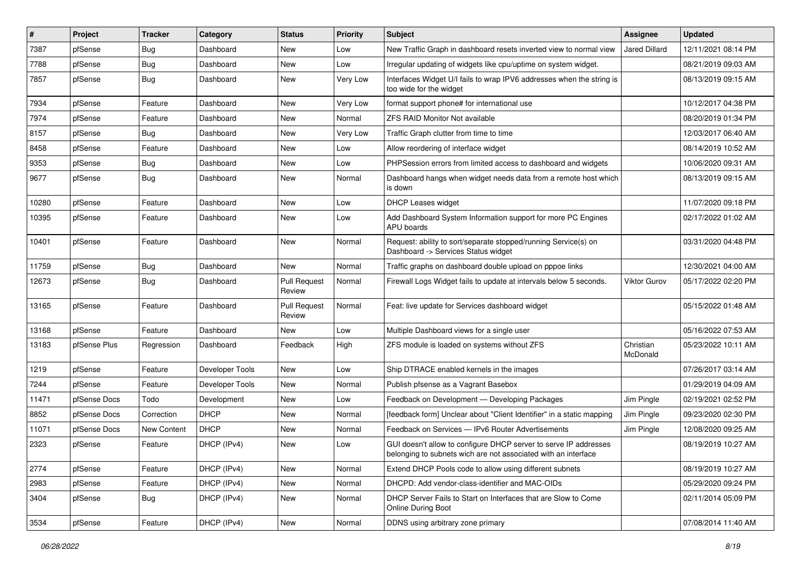| $\vert$ # | Project      | <b>Tracker</b> | Category        | <b>Status</b>                 | <b>Priority</b> | Subject                                                                                                                            | Assignee              | <b>Updated</b>      |
|-----------|--------------|----------------|-----------------|-------------------------------|-----------------|------------------------------------------------------------------------------------------------------------------------------------|-----------------------|---------------------|
| 7387      | pfSense      | Bug            | Dashboard       | New                           | Low             | New Traffic Graph in dashboard resets inverted view to normal view                                                                 | <b>Jared Dillard</b>  | 12/11/2021 08:14 PM |
| 7788      | pfSense      | Bug            | Dashboard       | New                           | Low             | Irregular updating of widgets like cpu/uptime on system widget.                                                                    |                       | 08/21/2019 09:03 AM |
| 7857      | pfSense      | Bug            | Dashboard       | New                           | Very Low        | Interfaces Widget U/I fails to wrap IPV6 addresses when the string is<br>too wide for the widget                                   |                       | 08/13/2019 09:15 AM |
| 7934      | pfSense      | Feature        | Dashboard       | New                           | Very Low        | format support phone# for international use                                                                                        |                       | 10/12/2017 04:38 PM |
| 7974      | pfSense      | Feature        | Dashboard       | New                           | Normal          | <b>ZFS RAID Monitor Not available</b>                                                                                              |                       | 08/20/2019 01:34 PM |
| 8157      | pfSense      | Bug            | Dashboard       | New                           | Very Low        | Traffic Graph clutter from time to time                                                                                            |                       | 12/03/2017 06:40 AM |
| 8458      | pfSense      | Feature        | Dashboard       | New                           | Low             | Allow reordering of interface widget                                                                                               |                       | 08/14/2019 10:52 AM |
| 9353      | pfSense      | Bug            | Dashboard       | New                           | Low             | PHPSession errors from limited access to dashboard and widgets                                                                     |                       | 10/06/2020 09:31 AM |
| 9677      | pfSense      | <b>Bug</b>     | Dashboard       | New                           | Normal          | Dashboard hangs when widget needs data from a remote host which<br>is down                                                         |                       | 08/13/2019 09:15 AM |
| 10280     | pfSense      | Feature        | Dashboard       | <b>New</b>                    | Low             | <b>DHCP Leases widget</b>                                                                                                          |                       | 11/07/2020 09:18 PM |
| 10395     | pfSense      | Feature        | Dashboard       | New                           | Low             | Add Dashboard System Information support for more PC Engines<br>APU boards                                                         |                       | 02/17/2022 01:02 AM |
| 10401     | pfSense      | Feature        | Dashboard       | New                           | Normal          | Request: ability to sort/separate stopped/running Service(s) on<br>Dashboard -> Services Status widget                             |                       | 03/31/2020 04:48 PM |
| 11759     | pfSense      | Bug            | Dashboard       | <b>New</b>                    | Normal          | Traffic graphs on dashboard double upload on pppoe links                                                                           |                       | 12/30/2021 04:00 AM |
| 12673     | pfSense      | Bug            | Dashboard       | <b>Pull Request</b><br>Review | Normal          | Firewall Logs Widget fails to update at intervals below 5 seconds.                                                                 | <b>Viktor Gurov</b>   | 05/17/2022 02:20 PM |
| 13165     | pfSense      | Feature        | Dashboard       | <b>Pull Request</b><br>Review | Normal          | Feat: live update for Services dashboard widget                                                                                    |                       | 05/15/2022 01:48 AM |
| 13168     | pfSense      | Feature        | Dashboard       | New                           | Low             | Multiple Dashboard views for a single user                                                                                         |                       | 05/16/2022 07:53 AM |
| 13183     | pfSense Plus | Regression     | Dashboard       | Feedback                      | High            | ZFS module is loaded on systems without ZFS                                                                                        | Christian<br>McDonald | 05/23/2022 10:11 AM |
| 1219      | pfSense      | Feature        | Developer Tools | New                           | Low             | Ship DTRACE enabled kernels in the images                                                                                          |                       | 07/26/2017 03:14 AM |
| 7244      | pfSense      | Feature        | Developer Tools | New                           | Normal          | Publish pfsense as a Vagrant Basebox                                                                                               |                       | 01/29/2019 04:09 AM |
| 11471     | pfSense Docs | Todo           | Development     | <b>New</b>                    | Low             | Feedback on Development - Developing Packages                                                                                      | Jim Pingle            | 02/19/2021 02:52 PM |
| 8852      | pfSense Docs | Correction     | <b>DHCP</b>     | New                           | Normal          | [feedback form] Unclear about "Client Identifier" in a static mapping                                                              | Jim Pingle            | 09/23/2020 02:30 PM |
| 11071     | pfSense Docs | New Content    | <b>DHCP</b>     | New                           | Normal          | Feedback on Services - IPv6 Router Advertisements                                                                                  | Jim Pingle            | 12/08/2020 09:25 AM |
| 2323      | pfSense      | Feature        | DHCP (IPv4)     | New                           | Low             | GUI doesn't allow to configure DHCP server to serve IP addresses<br>belonging to subnets wich are not associated with an interface |                       | 08/19/2019 10:27 AM |
| 2774      | pfSense      | Feature        | DHCP (IPv4)     | New                           | Normal          | Extend DHCP Pools code to allow using different subnets                                                                            |                       | 08/19/2019 10:27 AM |
| 2983      | pfSense      | Feature        | DHCP (IPv4)     | New                           | Normal          | DHCPD: Add vendor-class-identifier and MAC-OIDs                                                                                    |                       | 05/29/2020 09:24 PM |
| 3404      | pfSense      | Bug            | DHCP (IPv4)     | New                           | Normal          | DHCP Server Fails to Start on Interfaces that are Slow to Come<br>Online During Boot                                               |                       | 02/11/2014 05:09 PM |
| 3534      | pfSense      | Feature        | DHCP (IPv4)     | New                           | Normal          | DDNS using arbitrary zone primary                                                                                                  |                       | 07/08/2014 11:40 AM |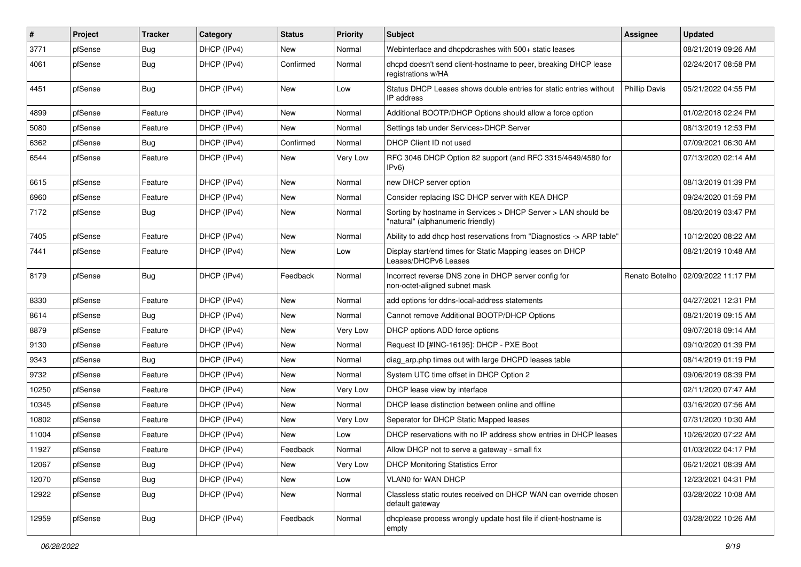| $\vert$ # | Project | <b>Tracker</b> | Category    | <b>Status</b> | <b>Priority</b> | <b>Subject</b>                                                                                     | Assignee             | <b>Updated</b>      |
|-----------|---------|----------------|-------------|---------------|-----------------|----------------------------------------------------------------------------------------------------|----------------------|---------------------|
| 3771      | pfSense | <b>Bug</b>     | DHCP (IPv4) | New           | Normal          | Webinterface and dhcpdcrashes with 500+ static leases                                              |                      | 08/21/2019 09:26 AM |
| 4061      | pfSense | Bug            | DHCP (IPv4) | Confirmed     | Normal          | dhcpd doesn't send client-hostname to peer, breaking DHCP lease<br>registrations w/HA              |                      | 02/24/2017 08:58 PM |
| 4451      | pfSense | Bug            | DHCP (IPv4) | New           | Low             | Status DHCP Leases shows double entries for static entries without<br>IP address                   | <b>Phillip Davis</b> | 05/21/2022 04:55 PM |
| 4899      | pfSense | Feature        | DHCP (IPv4) | New           | Normal          | Additional BOOTP/DHCP Options should allow a force option                                          |                      | 01/02/2018 02:24 PM |
| 5080      | pfSense | Feature        | DHCP (IPv4) | New           | Normal          | Settings tab under Services>DHCP Server                                                            |                      | 08/13/2019 12:53 PM |
| 6362      | pfSense | Bug            | DHCP (IPv4) | Confirmed     | Normal          | DHCP Client ID not used                                                                            |                      | 07/09/2021 06:30 AM |
| 6544      | pfSense | Feature        | DHCP (IPv4) | New           | Very Low        | RFC 3046 DHCP Option 82 support (and RFC 3315/4649/4580 for<br>IPv6)                               |                      | 07/13/2020 02:14 AM |
| 6615      | pfSense | Feature        | DHCP (IPv4) | New           | Normal          | new DHCP server option                                                                             |                      | 08/13/2019 01:39 PM |
| 6960      | pfSense | Feature        | DHCP (IPv4) | <b>New</b>    | Normal          | Consider replacing ISC DHCP server with KEA DHCP                                                   |                      | 09/24/2020 01:59 PM |
| 7172      | pfSense | Bug            | DHCP (IPv4) | <b>New</b>    | Normal          | Sorting by hostname in Services > DHCP Server > LAN should be<br>"natural" (alphanumeric friendly) |                      | 08/20/2019 03:47 PM |
| 7405      | pfSense | Feature        | DHCP (IPv4) | <b>New</b>    | Normal          | Ability to add dhcp host reservations from "Diagnostics -> ARP table"                              |                      | 10/12/2020 08:22 AM |
| 7441      | pfSense | Feature        | DHCP (IPv4) | <b>New</b>    | Low             | Display start/end times for Static Mapping leases on DHCP<br>Leases/DHCPv6 Leases                  |                      | 08/21/2019 10:48 AM |
| 8179      | pfSense | Bug            | DHCP (IPv4) | Feedback      | Normal          | Incorrect reverse DNS zone in DHCP server config for<br>non-octet-aligned subnet mask              | Renato Botelho       | 02/09/2022 11:17 PM |
| 8330      | pfSense | Feature        | DHCP (IPv4) | New           | Normal          | add options for ddns-local-address statements                                                      |                      | 04/27/2021 12:31 PM |
| 8614      | pfSense | Bug            | DHCP (IPv4) | <b>New</b>    | Normal          | Cannot remove Additional BOOTP/DHCP Options                                                        |                      | 08/21/2019 09:15 AM |
| 8879      | pfSense | Feature        | DHCP (IPv4) | New           | Very Low        | DHCP options ADD force options                                                                     |                      | 09/07/2018 09:14 AM |
| 9130      | pfSense | Feature        | DHCP (IPv4) | New           | Normal          | Request ID [#INC-16195]: DHCP - PXE Boot                                                           |                      | 09/10/2020 01:39 PM |
| 9343      | pfSense | Bug            | DHCP (IPv4) | <b>New</b>    | Normal          | diag_arp.php times out with large DHCPD leases table                                               |                      | 08/14/2019 01:19 PM |
| 9732      | pfSense | Feature        | DHCP (IPv4) | New           | Normal          | System UTC time offset in DHCP Option 2                                                            |                      | 09/06/2019 08:39 PM |
| 10250     | pfSense | Feature        | DHCP (IPv4) | <b>New</b>    | Very Low        | DHCP lease view by interface                                                                       |                      | 02/11/2020 07:47 AM |
| 10345     | pfSense | Feature        | DHCP (IPv4) | New           | Normal          | DHCP lease distinction between online and offline                                                  |                      | 03/16/2020 07:56 AM |
| 10802     | pfSense | Feature        | DHCP (IPv4) | <b>New</b>    | Very Low        | Seperator for DHCP Static Mapped leases                                                            |                      | 07/31/2020 10:30 AM |
| 11004     | pfSense | Feature        | DHCP (IPv4) | <b>New</b>    | Low             | DHCP reservations with no IP address show entries in DHCP leases                                   |                      | 10/26/2020 07:22 AM |
| 11927     | pfSense | Feature        | DHCP (IPv4) | Feedback      | Normal          | Allow DHCP not to serve a gateway - small fix                                                      |                      | 01/03/2022 04:17 PM |
| 12067     | pfSense | <b>Bug</b>     | DHCP (IPv4) | New           | Very Low        | <b>DHCP Monitoring Statistics Error</b>                                                            |                      | 06/21/2021 08:39 AM |
| 12070     | pfSense | <b>Bug</b>     | DHCP (IPv4) | New           | Low             | VLAN0 for WAN DHCP                                                                                 |                      | 12/23/2021 04:31 PM |
| 12922     | pfSense | Bug            | DHCP (IPv4) | New           | Normal          | Classless static routes received on DHCP WAN can override chosen<br>default gateway                |                      | 03/28/2022 10:08 AM |
| 12959     | pfSense | <b>Bug</b>     | DHCP (IPv4) | Feedback      | Normal          | dhcplease process wrongly update host file if client-hostname is<br>empty                          |                      | 03/28/2022 10:26 AM |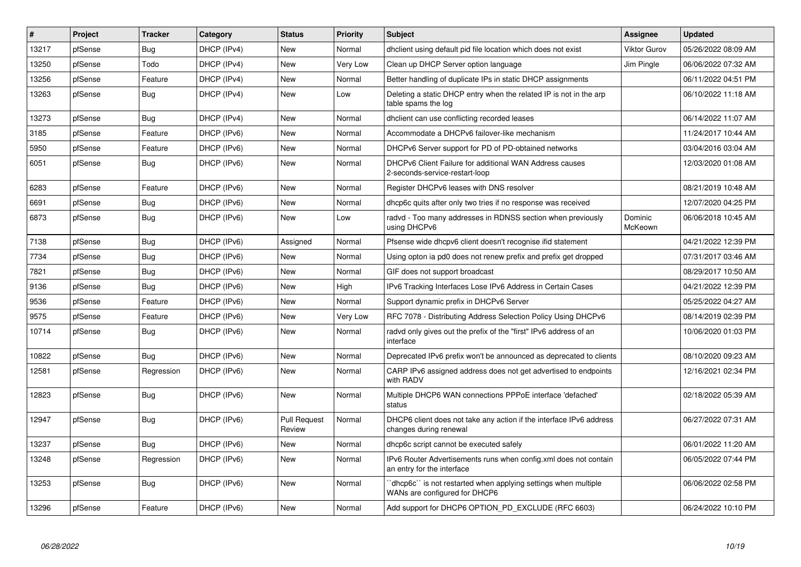| $\#$  | Project | <b>Tracker</b> | Category    | <b>Status</b>                 | Priority | <b>Subject</b>                                                                                 | <b>Assignee</b>     | <b>Updated</b>      |
|-------|---------|----------------|-------------|-------------------------------|----------|------------------------------------------------------------------------------------------------|---------------------|---------------------|
| 13217 | pfSense | Bug            | DHCP (IPv4) | New                           | Normal   | dholient using default pid file location which does not exist                                  | <b>Viktor Gurov</b> | 05/26/2022 08:09 AM |
| 13250 | pfSense | Todo           | DHCP (IPv4) | <b>New</b>                    | Very Low | Clean up DHCP Server option language                                                           | Jim Pingle          | 06/06/2022 07:32 AM |
| 13256 | pfSense | Feature        | DHCP (IPv4) | <b>New</b>                    | Normal   | Better handling of duplicate IPs in static DHCP assignments                                    |                     | 06/11/2022 04:51 PM |
| 13263 | pfSense | Bug            | DHCP (IPv4) | <b>New</b>                    | Low      | Deleting a static DHCP entry when the related IP is not in the arp<br>table spams the log      |                     | 06/10/2022 11:18 AM |
| 13273 | pfSense | Bug            | DHCP (IPv4) | New                           | Normal   | dholient can use conflicting recorded leases                                                   |                     | 06/14/2022 11:07 AM |
| 3185  | pfSense | Feature        | DHCP (IPv6) | <b>New</b>                    | Normal   | Accommodate a DHCPv6 failover-like mechanism                                                   |                     | 11/24/2017 10:44 AM |
| 5950  | pfSense | Feature        | DHCP (IPv6) | New                           | Normal   | DHCPv6 Server support for PD of PD-obtained networks                                           |                     | 03/04/2016 03:04 AM |
| 6051  | pfSense | Bug            | DHCP (IPv6) | <b>New</b>                    | Normal   | DHCPv6 Client Failure for additional WAN Address causes<br>2-seconds-service-restart-loop      |                     | 12/03/2020 01:08 AM |
| 6283  | pfSense | Feature        | DHCP (IPv6) | <b>New</b>                    | Normal   | Register DHCPv6 leases with DNS resolver                                                       |                     | 08/21/2019 10:48 AM |
| 6691  | pfSense | Bug            | DHCP (IPv6) | <b>New</b>                    | Normal   | dhcp6c quits after only two tries if no response was received                                  |                     | 12/07/2020 04:25 PM |
| 6873  | pfSense | Bug            | DHCP (IPv6) | <b>New</b>                    | Low      | radvd - Too many addresses in RDNSS section when previously<br>using DHCPv6                    | Dominic<br>McKeown  | 06/06/2018 10:45 AM |
| 7138  | pfSense | Bug            | DHCP (IPv6) | Assigned                      | Normal   | Pfsense wide dhcpv6 client doesn't recognise ifid statement                                    |                     | 04/21/2022 12:39 PM |
| 7734  | pfSense | Bug            | DHCP (IPv6) | <b>New</b>                    | Normal   | Using opton ia pd0 does not renew prefix and prefix get dropped                                |                     | 07/31/2017 03:46 AM |
| 7821  | pfSense | <b>Bug</b>     | DHCP (IPv6) | <b>New</b>                    | Normal   | GIF does not support broadcast                                                                 |                     | 08/29/2017 10:50 AM |
| 9136  | pfSense | Bug            | DHCP (IPv6) | <b>New</b>                    | High     | IPv6 Tracking Interfaces Lose IPv6 Address in Certain Cases                                    |                     | 04/21/2022 12:39 PM |
| 9536  | pfSense | Feature        | DHCP (IPv6) | New                           | Normal   | Support dynamic prefix in DHCPv6 Server                                                        |                     | 05/25/2022 04:27 AM |
| 9575  | pfSense | Feature        | DHCP (IPv6) | <b>New</b>                    | Very Low | RFC 7078 - Distributing Address Selection Policy Using DHCPv6                                  |                     | 08/14/2019 02:39 PM |
| 10714 | pfSense | Bug            | DHCP (IPv6) | <b>New</b>                    | Normal   | radvd only gives out the prefix of the "first" IPv6 address of an<br>interface                 |                     | 10/06/2020 01:03 PM |
| 10822 | pfSense | Bug            | DHCP (IPv6) | <b>New</b>                    | Normal   | Deprecated IPv6 prefix won't be announced as deprecated to clients                             |                     | 08/10/2020 09:23 AM |
| 12581 | pfSense | Regression     | DHCP (IPv6) | <b>New</b>                    | Normal   | CARP IPv6 assigned address does not get advertised to endpoints<br>with RADV                   |                     | 12/16/2021 02:34 PM |
| 12823 | pfSense | Bug            | DHCP (IPv6) | <b>New</b>                    | Normal   | Multiple DHCP6 WAN connections PPPoE interface 'defached'<br>status                            |                     | 02/18/2022 05:39 AM |
| 12947 | pfSense | Bug            | DHCP (IPv6) | <b>Pull Request</b><br>Review | Normal   | DHCP6 client does not take any action if the interface IPv6 address<br>changes during renewal  |                     | 06/27/2022 07:31 AM |
| 13237 | pfSense | Bug            | DHCP (IPv6) | <b>New</b>                    | Normal   | dhcp6c script cannot be executed safely                                                        |                     | 06/01/2022 11:20 AM |
| 13248 | pfSense | Regression     | DHCP (IPv6) | New                           | Normal   | IPv6 Router Advertisements runs when config.xml does not contain<br>an entry for the interface |                     | 06/05/2022 07:44 PM |
| 13253 | pfSense | Bug            | DHCP (IPv6) | <b>New</b>                    | Normal   | dhcp6c" is not restarted when applying settings when multiple<br>WANs are configured for DHCP6 |                     | 06/06/2022 02:58 PM |
| 13296 | pfSense | Feature        | DHCP (IPv6) | <b>New</b>                    | Normal   | Add support for DHCP6 OPTION_PD_EXCLUDE (RFC 6603)                                             |                     | 06/24/2022 10:10 PM |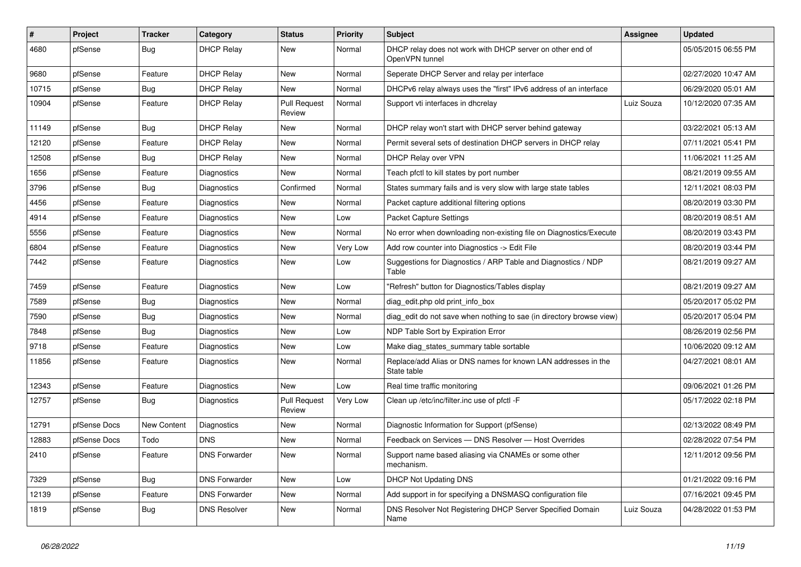| #     | Project      | <b>Tracker</b> | Category             | <b>Status</b>                 | <b>Priority</b> | <b>Subject</b>                                                               | Assignee   | <b>Updated</b>      |
|-------|--------------|----------------|----------------------|-------------------------------|-----------------|------------------------------------------------------------------------------|------------|---------------------|
| 4680  | pfSense      | <b>Bug</b>     | <b>DHCP Relay</b>    | New                           | Normal          | DHCP relay does not work with DHCP server on other end of<br>OpenVPN tunnel  |            | 05/05/2015 06:55 PM |
| 9680  | pfSense      | Feature        | <b>DHCP Relay</b>    | <b>New</b>                    | Normal          | Seperate DHCP Server and relay per interface                                 |            | 02/27/2020 10:47 AM |
| 10715 | pfSense      | Bug            | <b>DHCP Relay</b>    | New                           | Normal          | DHCPv6 relay always uses the "first" IPv6 address of an interface            |            | 06/29/2020 05:01 AM |
| 10904 | pfSense      | Feature        | <b>DHCP Relay</b>    | <b>Pull Request</b><br>Review | Normal          | Support vti interfaces in dhcrelay                                           | Luiz Souza | 10/12/2020 07:35 AM |
| 11149 | pfSense      | Bug            | <b>DHCP Relay</b>    | New                           | Normal          | DHCP relay won't start with DHCP server behind gateway                       |            | 03/22/2021 05:13 AM |
| 12120 | pfSense      | Feature        | <b>DHCP Relay</b>    | <b>New</b>                    | Normal          | Permit several sets of destination DHCP servers in DHCP relay                |            | 07/11/2021 05:41 PM |
| 12508 | pfSense      | <b>Bug</b>     | <b>DHCP Relay</b>    | New                           | Normal          | DHCP Relay over VPN                                                          |            | 11/06/2021 11:25 AM |
| 1656  | pfSense      | Feature        | Diagnostics          | New                           | Normal          | Teach pfctl to kill states by port number                                    |            | 08/21/2019 09:55 AM |
| 3796  | pfSense      | Bug            | Diagnostics          | Confirmed                     | Normal          | States summary fails and is very slow with large state tables                |            | 12/11/2021 08:03 PM |
| 4456  | pfSense      | Feature        | <b>Diagnostics</b>   | New                           | Normal          | Packet capture additional filtering options                                  |            | 08/20/2019 03:30 PM |
| 4914  | pfSense      | Feature        | <b>Diagnostics</b>   | <b>New</b>                    | Low             | Packet Capture Settings                                                      |            | 08/20/2019 08:51 AM |
| 5556  | pfSense      | Feature        | Diagnostics          | New                           | Normal          | No error when downloading non-existing file on Diagnostics/Execute           |            | 08/20/2019 03:43 PM |
| 6804  | pfSense      | Feature        | Diagnostics          | New                           | Very Low        | Add row counter into Diagnostics -> Edit File                                |            | 08/20/2019 03:44 PM |
| 7442  | pfSense      | Feature        | Diagnostics          | New                           | Low             | Suggestions for Diagnostics / ARP Table and Diagnostics / NDP<br>Table       |            | 08/21/2019 09:27 AM |
| 7459  | pfSense      | Feature        | <b>Diagnostics</b>   | <b>New</b>                    | Low             | "Refresh" button for Diagnostics/Tables display                              |            | 08/21/2019 09:27 AM |
| 7589  | pfSense      | Bug            | Diagnostics          | New                           | Normal          | diag edit.php old print info box                                             |            | 05/20/2017 05:02 PM |
| 7590  | pfSense      | <b>Bug</b>     | Diagnostics          | New                           | Normal          | diag_edit do not save when nothing to sae (in directory browse view)         |            | 05/20/2017 05:04 PM |
| 7848  | pfSense      | <b>Bug</b>     | Diagnostics          | <b>New</b>                    | Low             | NDP Table Sort by Expiration Error                                           |            | 08/26/2019 02:56 PM |
| 9718  | pfSense      | Feature        | Diagnostics          | New                           | Low             | Make diag_states_summary table sortable                                      |            | 10/06/2020 09:12 AM |
| 11856 | pfSense      | Feature        | Diagnostics          | New                           | Normal          | Replace/add Alias or DNS names for known LAN addresses in the<br>State table |            | 04/27/2021 08:01 AM |
| 12343 | pfSense      | Feature        | Diagnostics          | <b>New</b>                    | Low             | Real time traffic monitoring                                                 |            | 09/06/2021 01:26 PM |
| 12757 | pfSense      | <b>Bug</b>     | <b>Diagnostics</b>   | <b>Pull Request</b><br>Review | Very Low        | Clean up /etc/inc/filter.inc use of pfctl -F                                 |            | 05/17/2022 02:18 PM |
| 12791 | pfSense Docs | New Content    | <b>Diagnostics</b>   | <b>New</b>                    | Normal          | Diagnostic Information for Support (pfSense)                                 |            | 02/13/2022 08:49 PM |
| 12883 | pfSense Docs | Todo           | <b>DNS</b>           | <b>New</b>                    | Normal          | Feedback on Services - DNS Resolver - Host Overrides                         |            | 02/28/2022 07:54 PM |
| 2410  | pfSense      | Feature        | <b>DNS Forwarder</b> | New                           | Normal          | Support name based aliasing via CNAMEs or some other<br>mechanism.           |            | 12/11/2012 09:56 PM |
| 7329  | pfSense      | Bug            | <b>DNS Forwarder</b> | New                           | Low             | DHCP Not Updating DNS                                                        |            | 01/21/2022 09:16 PM |
| 12139 | pfSense      | Feature        | <b>DNS Forwarder</b> | New                           | Normal          | Add support in for specifying a DNSMASQ configuration file                   |            | 07/16/2021 09:45 PM |
| 1819  | pfSense      | Bug            | <b>DNS Resolver</b>  | New                           | Normal          | DNS Resolver Not Registering DHCP Server Specified Domain<br>Name            | Luiz Souza | 04/28/2022 01:53 PM |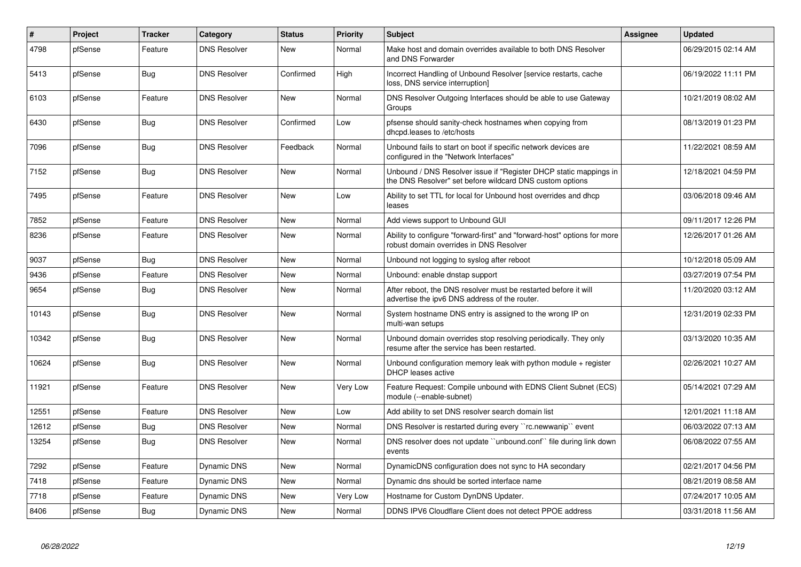| $\vert$ # | Project | <b>Tracker</b> | Category            | <b>Status</b> | Priority | <b>Subject</b>                                                                                                                | Assignee | <b>Updated</b>      |
|-----------|---------|----------------|---------------------|---------------|----------|-------------------------------------------------------------------------------------------------------------------------------|----------|---------------------|
| 4798      | pfSense | Feature        | <b>DNS Resolver</b> | <b>New</b>    | Normal   | Make host and domain overrides available to both DNS Resolver<br>and DNS Forwarder                                            |          | 06/29/2015 02:14 AM |
| 5413      | pfSense | Bug            | <b>DNS Resolver</b> | Confirmed     | High     | Incorrect Handling of Unbound Resolver [service restarts, cache<br>loss, DNS service interruption]                            |          | 06/19/2022 11:11 PM |
| 6103      | pfSense | Feature        | <b>DNS Resolver</b> | <b>New</b>    | Normal   | DNS Resolver Outgoing Interfaces should be able to use Gateway<br>Groups                                                      |          | 10/21/2019 08:02 AM |
| 6430      | pfSense | <b>Bug</b>     | <b>DNS Resolver</b> | Confirmed     | Low      | pfsense should sanity-check hostnames when copying from<br>dhcpd.leases to /etc/hosts                                         |          | 08/13/2019 01:23 PM |
| 7096      | pfSense | <b>Bug</b>     | <b>DNS Resolver</b> | Feedback      | Normal   | Unbound fails to start on boot if specific network devices are<br>configured in the "Network Interfaces"                      |          | 11/22/2021 08:59 AM |
| 7152      | pfSense | Bug            | <b>DNS Resolver</b> | <b>New</b>    | Normal   | Unbound / DNS Resolver issue if "Register DHCP static mappings in<br>the DNS Resolver" set before wildcard DNS custom options |          | 12/18/2021 04:59 PM |
| 7495      | pfSense | Feature        | <b>DNS Resolver</b> | <b>New</b>    | Low      | Ability to set TTL for local for Unbound host overrides and dhcp<br>leases                                                    |          | 03/06/2018 09:46 AM |
| 7852      | pfSense | Feature        | <b>DNS Resolver</b> | <b>New</b>    | Normal   | Add views support to Unbound GUI                                                                                              |          | 09/11/2017 12:26 PM |
| 8236      | pfSense | Feature        | <b>DNS Resolver</b> | <b>New</b>    | Normal   | Ability to configure "forward-first" and "forward-host" options for more<br>robust domain overrides in DNS Resolver           |          | 12/26/2017 01:26 AM |
| 9037      | pfSense | Bug            | <b>DNS Resolver</b> | <b>New</b>    | Normal   | Unbound not logging to syslog after reboot                                                                                    |          | 10/12/2018 05:09 AM |
| 9436      | pfSense | Feature        | <b>DNS Resolver</b> | <b>New</b>    | Normal   | Unbound: enable dnstap support                                                                                                |          | 03/27/2019 07:54 PM |
| 9654      | pfSense | Bug            | <b>DNS Resolver</b> | <b>New</b>    | Normal   | After reboot, the DNS resolver must be restarted before it will<br>advertise the ipv6 DNS address of the router.              |          | 11/20/2020 03:12 AM |
| 10143     | pfSense | <b>Bug</b>     | <b>DNS Resolver</b> | <b>New</b>    | Normal   | System hostname DNS entry is assigned to the wrong IP on<br>multi-wan setups                                                  |          | 12/31/2019 02:33 PM |
| 10342     | pfSense | <b>Bug</b>     | <b>DNS Resolver</b> | <b>New</b>    | Normal   | Unbound domain overrides stop resolving periodically. They only<br>resume after the service has been restarted.               |          | 03/13/2020 10:35 AM |
| 10624     | pfSense | <b>Bug</b>     | <b>DNS Resolver</b> | New           | Normal   | Unbound configuration memory leak with python module $+$ register<br>DHCP leases active                                       |          | 02/26/2021 10:27 AM |
| 11921     | pfSense | Feature        | <b>DNS Resolver</b> | <b>New</b>    | Very Low | Feature Request: Compile unbound with EDNS Client Subnet (ECS)<br>module (--enable-subnet)                                    |          | 05/14/2021 07:29 AM |
| 12551     | pfSense | Feature        | <b>DNS Resolver</b> | <b>New</b>    | Low      | Add ability to set DNS resolver search domain list                                                                            |          | 12/01/2021 11:18 AM |
| 12612     | pfSense | Bug            | <b>DNS Resolver</b> | <b>New</b>    | Normal   | DNS Resolver is restarted during every "rc.newwanip" event                                                                    |          | 06/03/2022 07:13 AM |
| 13254     | pfSense | Bug            | <b>DNS Resolver</b> | New           | Normal   | DNS resolver does not update "unbound.conf" file during link down<br>events                                                   |          | 06/08/2022 07:55 AM |
| 7292      | pfSense | Feature        | Dynamic DNS         | <b>New</b>    | Normal   | DynamicDNS configuration does not sync to HA secondary                                                                        |          | 02/21/2017 04:56 PM |
| 7418      | pfSense | Feature        | Dynamic DNS         | New           | Normal   | Dynamic dns should be sorted interface name                                                                                   |          | 08/21/2019 08:58 AM |
| 7718      | pfSense | Feature        | Dynamic DNS         | New           | Very Low | Hostname for Custom DynDNS Updater.                                                                                           |          | 07/24/2017 10:05 AM |
| 8406      | pfSense | <b>Bug</b>     | Dynamic DNS         | <b>New</b>    | Normal   | DDNS IPV6 Cloudflare Client does not detect PPOE address                                                                      |          | 03/31/2018 11:56 AM |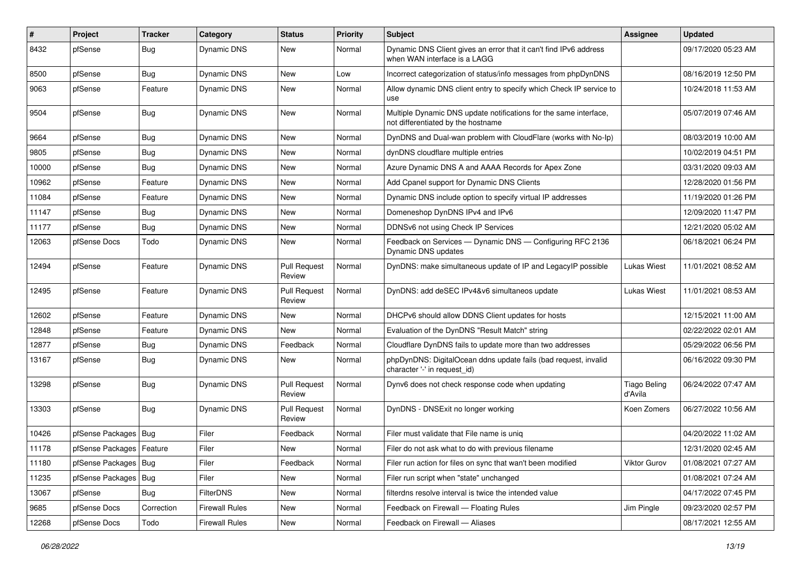| #     | Project                    | <b>Tracker</b> | Category              | <b>Status</b>                 | <b>Priority</b> | <b>Subject</b>                                                                                          | Assignee                       | <b>Updated</b>      |
|-------|----------------------------|----------------|-----------------------|-------------------------------|-----------------|---------------------------------------------------------------------------------------------------------|--------------------------------|---------------------|
| 8432  | pfSense                    | Bug            | Dynamic DNS           | New                           | Normal          | Dynamic DNS Client gives an error that it can't find IPv6 address<br>when WAN interface is a LAGG       |                                | 09/17/2020 05:23 AM |
| 8500  | pfSense                    | Bug            | Dynamic DNS           | New                           | Low             | Incorrect categorization of status/info messages from phpDynDNS                                         |                                | 08/16/2019 12:50 PM |
| 9063  | pfSense                    | Feature        | Dynamic DNS           | New                           | Normal          | Allow dynamic DNS client entry to specify which Check IP service to<br>use                              |                                | 10/24/2018 11:53 AM |
| 9504  | pfSense                    | Bug            | Dynamic DNS           | New                           | Normal          | Multiple Dynamic DNS update notifications for the same interface,<br>not differentiated by the hostname |                                | 05/07/2019 07:46 AM |
| 9664  | pfSense                    | Bug            | Dynamic DNS           | <b>New</b>                    | Normal          | DynDNS and Dual-wan problem with CloudFlare (works with No-Ip)                                          |                                | 08/03/2019 10:00 AM |
| 9805  | pfSense                    | <b>Bug</b>     | Dynamic DNS           | New                           | Normal          | dynDNS cloudflare multiple entries                                                                      |                                | 10/02/2019 04:51 PM |
| 10000 | pfSense                    | Bug            | Dynamic DNS           | New                           | Normal          | Azure Dynamic DNS A and AAAA Records for Apex Zone                                                      |                                | 03/31/2020 09:03 AM |
| 10962 | pfSense                    | Feature        | Dynamic DNS           | New                           | Normal          | Add Cpanel support for Dynamic DNS Clients                                                              |                                | 12/28/2020 01:56 PM |
| 11084 | pfSense                    | Feature        | Dynamic DNS           | <b>New</b>                    | Normal          | Dynamic DNS include option to specify virtual IP addresses                                              |                                | 11/19/2020 01:26 PM |
| 11147 | pfSense                    | Bug            | Dynamic DNS           | New                           | Normal          | Domeneshop DynDNS IPv4 and IPv6                                                                         |                                | 12/09/2020 11:47 PM |
| 11177 | pfSense                    | <b>Bug</b>     | Dynamic DNS           | New                           | Normal          | DDNSv6 not using Check IP Services                                                                      |                                | 12/21/2020 05:02 AM |
| 12063 | pfSense Docs               | Todo           | Dynamic DNS           | New                           | Normal          | Feedback on Services - Dynamic DNS - Configuring RFC 2136<br>Dynamic DNS updates                        |                                | 06/18/2021 06:24 PM |
| 12494 | pfSense                    | Feature        | Dynamic DNS           | <b>Pull Request</b><br>Review | Normal          | DynDNS: make simultaneous update of IP and LegacylP possible                                            | <b>Lukas Wiest</b>             | 11/01/2021 08:52 AM |
| 12495 | pfSense                    | Feature        | <b>Dynamic DNS</b>    | <b>Pull Request</b><br>Review | Normal          | DynDNS: add deSEC IPv4&v6 simultaneos update                                                            | <b>Lukas Wiest</b>             | 11/01/2021 08:53 AM |
| 12602 | pfSense                    | Feature        | Dynamic DNS           | New                           | Normal          | DHCPv6 should allow DDNS Client updates for hosts                                                       |                                | 12/15/2021 11:00 AM |
| 12848 | pfSense                    | Feature        | Dynamic DNS           | New                           | Normal          | Evaluation of the DynDNS "Result Match" string                                                          |                                | 02/22/2022 02:01 AM |
| 12877 | pfSense                    | <b>Bug</b>     | Dynamic DNS           | Feedback                      | Normal          | Cloudflare DynDNS fails to update more than two addresses                                               |                                | 05/29/2022 06:56 PM |
| 13167 | pfSense                    | Bug            | Dynamic DNS           | New                           | Normal          | phpDynDNS: DigitalOcean ddns update fails (bad request, invalid<br>character '-' in request id)         |                                | 06/16/2022 09:30 PM |
| 13298 | pfSense                    | <b>Bug</b>     | Dynamic DNS           | <b>Pull Request</b><br>Review | Normal          | Dynv6 does not check response code when updating                                                        | <b>Tiago Beling</b><br>d'Avila | 06/24/2022 07:47 AM |
| 13303 | pfSense                    | Bug            | Dynamic DNS           | <b>Pull Request</b><br>Review | Normal          | DynDNS - DNSExit no longer working                                                                      | Koen Zomers                    | 06/27/2022 10:56 AM |
| 10426 | pfSense Packages   Bug     |                | Filer                 | Feedback                      | Normal          | Filer must validate that File name is uniq                                                              |                                | 04/20/2022 11:02 AM |
| 11178 | pfSense Packages   Feature |                | Filer                 | <b>New</b>                    | Normal          | Filer do not ask what to do with previous filename                                                      |                                | 12/31/2020 02:45 AM |
| 11180 | pfSense Packages   Bug     |                | Filer                 | Feedback                      | Normal          | Filer run action for files on sync that wan't been modified                                             | Viktor Gurov                   | 01/08/2021 07:27 AM |
| 11235 | pfSense Packages           | Bug            | Filer                 | New                           | Normal          | Filer run script when "state" unchanged                                                                 |                                | 01/08/2021 07:24 AM |
| 13067 | pfSense                    | <b>Bug</b>     | <b>FilterDNS</b>      | New                           | Normal          | filterdns resolve interval is twice the intended value                                                  |                                | 04/17/2022 07:45 PM |
| 9685  | pfSense Docs               | Correction     | <b>Firewall Rules</b> | New                           | Normal          | Feedback on Firewall - Floating Rules                                                                   | Jim Pingle                     | 09/23/2020 02:57 PM |
| 12268 | pfSense Docs               | Todo           | <b>Firewall Rules</b> | New                           | Normal          | Feedback on Firewall - Aliases                                                                          |                                | 08/17/2021 12:55 AM |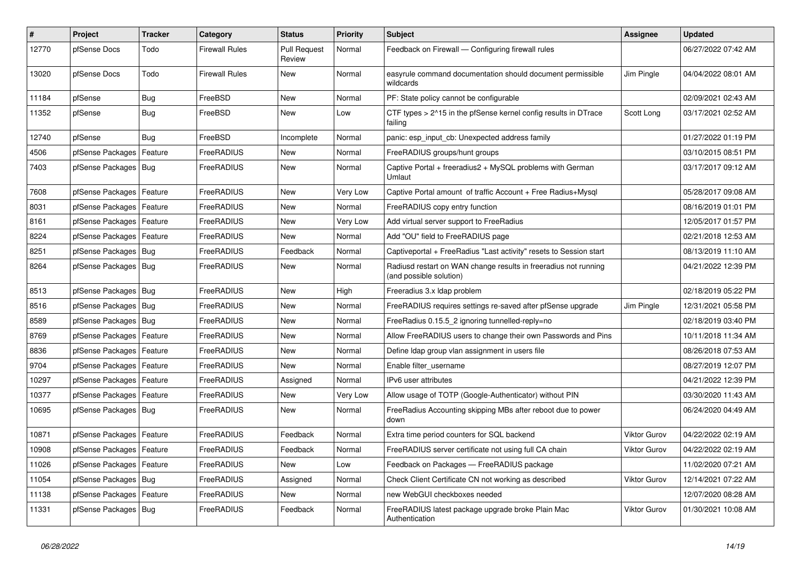| $\vert$ # | <b>Project</b>             | <b>Tracker</b> | Category       | <b>Status</b>                 | <b>Priority</b> | <b>Subject</b>                                                                             | Assignee            | <b>Updated</b>      |
|-----------|----------------------------|----------------|----------------|-------------------------------|-----------------|--------------------------------------------------------------------------------------------|---------------------|---------------------|
| 12770     | pfSense Docs               | Todo           | Firewall Rules | <b>Pull Request</b><br>Review | Normal          | Feedback on Firewall - Configuring firewall rules                                          |                     | 06/27/2022 07:42 AM |
| 13020     | pfSense Docs               | Todo           | Firewall Rules | New                           | Normal          | easyrule command documentation should document permissible<br>wildcards                    | Jim Pingle          | 04/04/2022 08:01 AM |
| 11184     | pfSense                    | Bug            | FreeBSD        | <b>New</b>                    | Normal          | PF: State policy cannot be configurable                                                    |                     | 02/09/2021 02:43 AM |
| 11352     | pfSense                    | <b>Bug</b>     | FreeBSD        | New                           | Low             | CTF types > 2^15 in the pfSense kernel config results in DTrace<br>failing                 | Scott Long          | 03/17/2021 02:52 AM |
| 12740     | pfSense                    | Bug            | FreeBSD        | Incomplete                    | Normal          | panic: esp input cb: Unexpected address family                                             |                     | 01/27/2022 01:19 PM |
| 4506      | pfSense Packages           | Feature        | FreeRADIUS     | New                           | Normal          | FreeRADIUS groups/hunt groups                                                              |                     | 03/10/2015 08:51 PM |
| 7403      | pfSense Packages   Bug     |                | FreeRADIUS     | New                           | Normal          | Captive Portal + freeradius2 + MySQL problems with German<br>Umlaut                        |                     | 03/17/2017 09:12 AM |
| 7608      | pfSense Packages   Feature |                | FreeRADIUS     | <b>New</b>                    | Very Low        | Captive Portal amount of traffic Account + Free Radius+Mysql                               |                     | 05/28/2017 09:08 AM |
| 8031      | pfSense Packages           | Feature        | FreeRADIUS     | <b>New</b>                    | Normal          | FreeRADIUS copy entry function                                                             |                     | 08/16/2019 01:01 PM |
| 8161      | pfSense Packages           | Feature        | FreeRADIUS     | New                           | Very Low        | Add virtual server support to FreeRadius                                                   |                     | 12/05/2017 01:57 PM |
| 8224      | pfSense Packages   Feature |                | FreeRADIUS     | New                           | Normal          | Add "OU" field to FreeRADIUS page                                                          |                     | 02/21/2018 12:53 AM |
| 8251      | pfSense Packages   Bug     |                | FreeRADIUS     | Feedback                      | Normal          | Captiveportal + FreeRadius "Last activity" resets to Session start                         |                     | 08/13/2019 11:10 AM |
| 8264      | pfSense Packages   Bug     |                | FreeRADIUS     | <b>New</b>                    | Normal          | Radiusd restart on WAN change results in freeradius not running<br>(and possible solution) |                     | 04/21/2022 12:39 PM |
| 8513      | pfSense Packages   Bug     |                | FreeRADIUS     | New                           | High            | Freeradius 3.x Idap problem                                                                |                     | 02/18/2019 05:22 PM |
| 8516      | pfSense Packages   Bug     |                | FreeRADIUS     | New                           | Normal          | FreeRADIUS requires settings re-saved after pfSense upgrade                                | Jim Pingle          | 12/31/2021 05:58 PM |
| 8589      | pfSense Packages           | Bug            | FreeRADIUS     | <b>New</b>                    | Normal          | FreeRadius 0.15.5_2 ignoring tunnelled-reply=no                                            |                     | 02/18/2019 03:40 PM |
| 8769      | pfSense Packages           | Feature        | FreeRADIUS     | New                           | Normal          | Allow FreeRADIUS users to change their own Passwords and Pins                              |                     | 10/11/2018 11:34 AM |
| 8836      | pfSense Packages   Feature |                | FreeRADIUS     | <b>New</b>                    | Normal          | Define Idap group vlan assignment in users file                                            |                     | 08/26/2018 07:53 AM |
| 9704      | pfSense Packages           | Feature        | FreeRADIUS     | New                           | Normal          | Enable filter_username                                                                     |                     | 08/27/2019 12:07 PM |
| 10297     | pfSense Packages           | Feature        | FreeRADIUS     | Assigned                      | Normal          | IPv6 user attributes                                                                       |                     | 04/21/2022 12:39 PM |
| 10377     | pfSense Packages           | Feature        | FreeRADIUS     | <b>New</b>                    | Very Low        | Allow usage of TOTP (Google-Authenticator) without PIN                                     |                     | 03/30/2020 11:43 AM |
| 10695     | pfSense Packages   Bug     |                | FreeRADIUS     | New                           | Normal          | FreeRadius Accounting skipping MBs after reboot due to power<br>down                       |                     | 06/24/2020 04:49 AM |
| 10871     | pfSense Packages           | Feature        | FreeRADIUS     | Feedback                      | Normal          | Extra time period counters for SQL backend                                                 | Viktor Gurov        | 04/22/2022 02:19 AM |
| 10908     | pfSense Packages   Feature |                | FreeRADIUS     | Feedback                      | Normal          | FreeRADIUS server certificate not using full CA chain                                      | <b>Viktor Gurov</b> | 04/22/2022 02:19 AM |
| 11026     | pfSense Packages   Feature |                | FreeRADIUS     | New                           | Low             | Feedback on Packages - FreeRADIUS package                                                  |                     | 11/02/2020 07:21 AM |
| 11054     | pfSense Packages   Bug     |                | FreeRADIUS     | Assigned                      | Normal          | Check Client Certificate CN not working as described                                       | Viktor Gurov        | 12/14/2021 07:22 AM |
| 11138     | pfSense Packages   Feature |                | FreeRADIUS     | New                           | Normal          | new WebGUI checkboxes needed                                                               |                     | 12/07/2020 08:28 AM |
| 11331     | pfSense Packages   Bug     |                | FreeRADIUS     | Feedback                      | Normal          | FreeRADIUS latest package upgrade broke Plain Mac<br>Authentication                        | Viktor Gurov        | 01/30/2021 10:08 AM |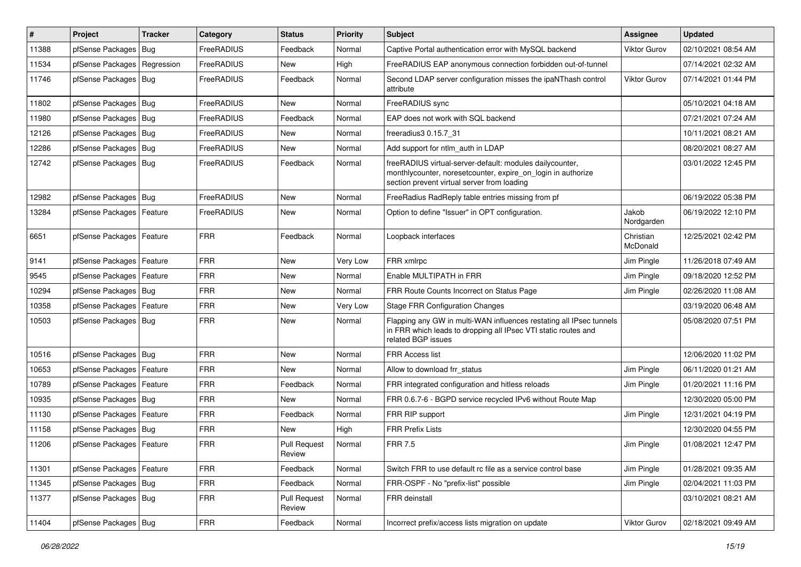| $\vert$ # | Project                    | <b>Tracker</b> | Category          | <b>Status</b>                 | <b>Priority</b> | Subject                                                                                                                                                                 | Assignee              | <b>Updated</b>      |
|-----------|----------------------------|----------------|-------------------|-------------------------------|-----------------|-------------------------------------------------------------------------------------------------------------------------------------------------------------------------|-----------------------|---------------------|
| 11388     | pfSense Packages           | Bug            | FreeRADIUS        | Feedback                      | Normal          | Captive Portal authentication error with MySQL backend                                                                                                                  | <b>Viktor Gurov</b>   | 02/10/2021 08:54 AM |
| 11534     | pfSense Packages           | Regression     | FreeRADIUS        | New                           | High            | FreeRADIUS EAP anonymous connection forbidden out-of-tunnel                                                                                                             |                       | 07/14/2021 02:32 AM |
| 11746     | pfSense Packages   Bug     |                | FreeRADIUS        | Feedback                      | Normal          | Second LDAP server configuration misses the ipaNThash control<br>attribute                                                                                              | Viktor Gurov          | 07/14/2021 01:44 PM |
| 11802     | pfSense Packages   Bug     |                | FreeRADIUS        | <b>New</b>                    | Normal          | FreeRADIUS sync                                                                                                                                                         |                       | 05/10/2021 04:18 AM |
| 11980     | pfSense Packages   Bug     |                | FreeRADIUS        | Feedback                      | Normal          | EAP does not work with SQL backend                                                                                                                                      |                       | 07/21/2021 07:24 AM |
| 12126     | pfSense Packages   Bug     |                | FreeRADIUS        | New                           | Normal          | freeradius3 0.15.7 31                                                                                                                                                   |                       | 10/11/2021 08:21 AM |
| 12286     | pfSense Packages           | <b>Bug</b>     | <b>FreeRADIUS</b> | <b>New</b>                    | Normal          | Add support for ntlm_auth in LDAP                                                                                                                                       |                       | 08/20/2021 08:27 AM |
| 12742     | pfSense Packages   Bug     |                | FreeRADIUS        | Feedback                      | Normal          | freeRADIUS virtual-server-default: modules dailycounter,<br>monthlycounter, noresetcounter, expire_on_login in authorize<br>section prevent virtual server from loading |                       | 03/01/2022 12:45 PM |
| 12982     | pfSense Packages   Bug     |                | FreeRADIUS        | <b>New</b>                    | Normal          | FreeRadius RadReply table entries missing from pf                                                                                                                       |                       | 06/19/2022 05:38 PM |
| 13284     | pfSense Packages   Feature |                | FreeRADIUS        | <b>New</b>                    | Normal          | Option to define "Issuer" in OPT configuration.                                                                                                                         | Jakob<br>Nordgarden   | 06/19/2022 12:10 PM |
| 6651      | pfSense Packages   Feature |                | <b>FRR</b>        | Feedback                      | Normal          | Loopback interfaces                                                                                                                                                     | Christian<br>McDonald | 12/25/2021 02:42 PM |
| 9141      | pfSense Packages           | Feature        | <b>FRR</b>        | New                           | Very Low        | FRR xmlrpc                                                                                                                                                              | Jim Pingle            | 11/26/2018 07:49 AM |
| 9545      | pfSense Packages   Feature |                | <b>FRR</b>        | New                           | Normal          | Enable MULTIPATH in FRR                                                                                                                                                 | Jim Pingle            | 09/18/2020 12:52 PM |
| 10294     | pfSense Packages   Bug     |                | <b>FRR</b>        | <b>New</b>                    | Normal          | FRR Route Counts Incorrect on Status Page                                                                                                                               | Jim Pingle            | 02/26/2020 11:08 AM |
| 10358     | pfSense Packages   Feature |                | <b>FRR</b>        | <b>New</b>                    | Very Low        | <b>Stage FRR Configuration Changes</b>                                                                                                                                  |                       | 03/19/2020 06:48 AM |
| 10503     | pfSense Packages   Bug     |                | <b>FRR</b>        | <b>New</b>                    | Normal          | Flapping any GW in multi-WAN influences restating all IPsec tunnels<br>in FRR which leads to dropping all IPsec VTI static routes and<br>related BGP issues             |                       | 05/08/2020 07:51 PM |
| 10516     | pfSense Packages   Bug     |                | <b>FRR</b>        | <b>New</b>                    | Normal          | FRR Access list                                                                                                                                                         |                       | 12/06/2020 11:02 PM |
| 10653     | pfSense Packages           | Feature        | <b>FRR</b>        | <b>New</b>                    | Normal          | Allow to download frr status                                                                                                                                            | Jim Pingle            | 06/11/2020 01:21 AM |
| 10789     | pfSense Packages   Feature |                | <b>FRR</b>        | Feedback                      | Normal          | FRR integrated configuration and hitless reloads                                                                                                                        | Jim Pingle            | 01/20/2021 11:16 PM |
| 10935     | pfSense Packages   Bug     |                | <b>FRR</b>        | <b>New</b>                    | Normal          | FRR 0.6.7-6 - BGPD service recycled IPv6 without Route Map                                                                                                              |                       | 12/30/2020 05:00 PM |
| 11130     | pfSense Packages           | Feature        | <b>FRR</b>        | Feedback                      | Normal          | FRR RIP support                                                                                                                                                         | Jim Pingle            | 12/31/2021 04:19 PM |
| 11158     | pfSense Packages   Bug     |                | <b>FRR</b>        | New                           | High            | <b>FRR Prefix Lists</b>                                                                                                                                                 |                       | 12/30/2020 04:55 PM |
| 11206     | pfSense Packages   Feature |                | <b>FRR</b>        | <b>Pull Request</b><br>Review | Normal          | <b>FRR 7.5</b>                                                                                                                                                          | Jim Pingle            | 01/08/2021 12:47 PM |
| 11301     | pfSense Packages           | Feature        | <b>FRR</b>        | Feedback                      | Normal          | Switch FRR to use default rc file as a service control base                                                                                                             | Jim Pingle            | 01/28/2021 09:35 AM |
| 11345     | pfSense Packages   Bug     |                | <b>FRR</b>        | Feedback                      | Normal          | FRR-OSPF - No "prefix-list" possible                                                                                                                                    | Jim Pingle            | 02/04/2021 11:03 PM |
| 11377     | pfSense Packages   Bug     |                | <b>FRR</b>        | <b>Pull Request</b><br>Review | Normal          | FRR deinstall                                                                                                                                                           |                       | 03/10/2021 08:21 AM |
| 11404     | pfSense Packages   Bug     |                | <b>FRR</b>        | Feedback                      | Normal          | Incorrect prefix/access lists migration on update                                                                                                                       | Viktor Gurov          | 02/18/2021 09:49 AM |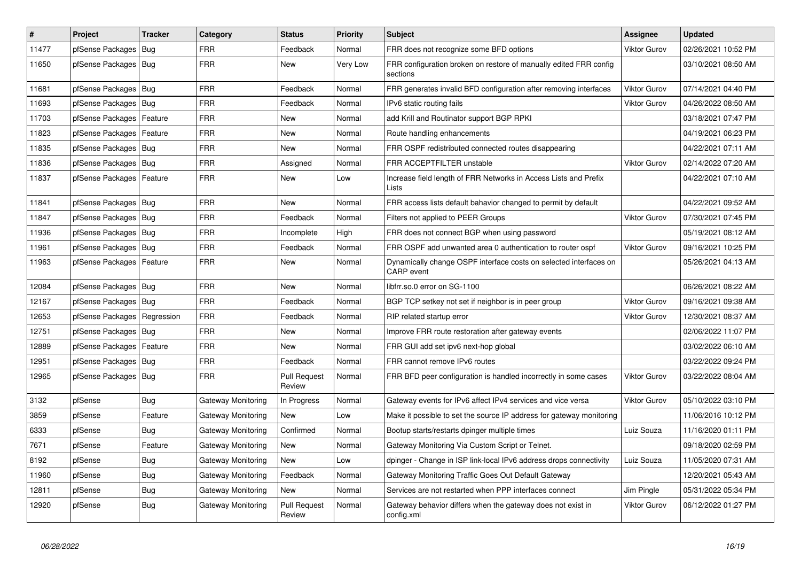| #     | Project                    | <b>Tracker</b> | Category           | <b>Status</b>                 | <b>Priority</b> | <b>Subject</b>                                                                         | Assignee            | <b>Updated</b>      |
|-------|----------------------------|----------------|--------------------|-------------------------------|-----------------|----------------------------------------------------------------------------------------|---------------------|---------------------|
| 11477 | pfSense Packages           | Bug            | <b>FRR</b>         | Feedback                      | Normal          | FRR does not recognize some BFD options                                                | <b>Viktor Gurov</b> | 02/26/2021 10:52 PM |
| 11650 | pfSense Packages   Bug     |                | <b>FRR</b>         | New                           | Very Low        | FRR configuration broken on restore of manually edited FRR config<br>sections          |                     | 03/10/2021 08:50 AM |
| 11681 | pfSense Packages           | Bua            | <b>FRR</b>         | Feedback                      | Normal          | FRR generates invalid BFD configuration after removing interfaces                      | <b>Viktor Gurov</b> | 07/14/2021 04:40 PM |
| 11693 | pfSense Packages   Bug     |                | <b>FRR</b>         | Feedback                      | Normal          | IPv6 static routing fails                                                              | <b>Viktor Gurov</b> | 04/26/2022 08:50 AM |
| 11703 | pfSense Packages           | Feature        | <b>FRR</b>         | <b>New</b>                    | Normal          | add Krill and Routinator support BGP RPKI                                              |                     | 03/18/2021 07:47 PM |
| 11823 | pfSense Packages           | Feature        | <b>FRR</b>         | <b>New</b>                    | Normal          | Route handling enhancements                                                            |                     | 04/19/2021 06:23 PM |
| 11835 | pfSense Packages           | Bug            | <b>FRR</b>         | <b>New</b>                    | Normal          | FRR OSPF redistributed connected routes disappearing                                   |                     | 04/22/2021 07:11 AM |
| 11836 | pfSense Packages   Bug     |                | <b>FRR</b>         | Assigned                      | Normal          | FRR ACCEPTFILTER unstable                                                              | <b>Viktor Gurov</b> | 02/14/2022 07:20 AM |
| 11837 | pfSense Packages   Feature |                | <b>FRR</b>         | New                           | Low             | Increase field length of FRR Networks in Access Lists and Prefix<br>Lists              |                     | 04/22/2021 07:10 AM |
| 11841 | pfSense Packages   Bug     |                | <b>FRR</b>         | <b>New</b>                    | Normal          | FRR access lists default bahavior changed to permit by default                         |                     | 04/22/2021 09:52 AM |
| 11847 | pfSense Packages   Bug     |                | FRR                | Feedback                      | Normal          | Filters not applied to PEER Groups                                                     | <b>Viktor Gurov</b> | 07/30/2021 07:45 PM |
| 11936 | pfSense Packages   Bug     |                | <b>FRR</b>         | Incomplete                    | High            | FRR does not connect BGP when using password                                           |                     | 05/19/2021 08:12 AM |
| 11961 | pfSense Packages           | l Bug          | <b>FRR</b>         | Feedback                      | Normal          | FRR OSPF add unwanted area 0 authentication to router ospf                             | <b>Viktor Gurov</b> | 09/16/2021 10:25 PM |
| 11963 | pfSense Packages   Feature |                | <b>FRR</b>         | New                           | Normal          | Dynamically change OSPF interface costs on selected interfaces on<br><b>CARP</b> event |                     | 05/26/2021 04:13 AM |
| 12084 | pfSense Packages   Bug     |                | <b>FRR</b>         | <b>New</b>                    | Normal          | libfrr.so.0 error on SG-1100                                                           |                     | 06/26/2021 08:22 AM |
| 12167 | pfSense Packages   Bug     |                | <b>FRR</b>         | Feedback                      | Normal          | BGP TCP setkey not set if neighbor is in peer group                                    | <b>Viktor Gurov</b> | 09/16/2021 09:38 AM |
| 12653 | pfSense Packages           | Regression     | <b>FRR</b>         | Feedback                      | Normal          | RIP related startup error                                                              | <b>Viktor Gurov</b> | 12/30/2021 08:37 AM |
| 12751 | pfSense Packages           | l Bug          | FRR                | New                           | Normal          | Improve FRR route restoration after gateway events                                     |                     | 02/06/2022 11:07 PM |
| 12889 | pfSense Packages           | Feature        | <b>FRR</b>         | <b>New</b>                    | Normal          | FRR GUI add set ipv6 next-hop global                                                   |                     | 03/02/2022 06:10 AM |
| 12951 | pfSense Packages   Bug     |                | FRR                | Feedback                      | Normal          | FRR cannot remove IPv6 routes                                                          |                     | 03/22/2022 09:24 PM |
| 12965 | pfSense Packages   Bug     |                | <b>FRR</b>         | <b>Pull Request</b><br>Review | Normal          | FRR BFD peer configuration is handled incorrectly in some cases                        | <b>Viktor Gurov</b> | 03/22/2022 08:04 AM |
| 3132  | pfSense                    | Bug            | Gateway Monitoring | In Progress                   | Normal          | Gateway events for IPv6 affect IPv4 services and vice versa                            | <b>Viktor Gurov</b> | 05/10/2022 03:10 PM |
| 3859  | pfSense                    | Feature        | Gateway Monitoring | <b>New</b>                    | Low             | Make it possible to set the source IP address for gateway monitoring                   |                     | 11/06/2016 10:12 PM |
| 6333  | pfSense                    | Bug            | Gateway Monitoring | Confirmed                     | Normal          | Bootup starts/restarts dpinger multiple times                                          | Luiz Souza          | 11/16/2020 01:11 PM |
| 7671  | pfSense                    | Feature        | Gateway Monitoring | New                           | Normal          | Gateway Monitoring Via Custom Script or Telnet.                                        |                     | 09/18/2020 02:59 PM |
| 8192  | pfSense                    | Bug            | Gateway Monitoring | New                           | Low             | dpinger - Change in ISP link-local IPv6 address drops connectivity                     | Luiz Souza          | 11/05/2020 07:31 AM |
| 11960 | pfSense                    | Bug            | Gateway Monitoring | Feedback                      | Normal          | Gateway Monitoring Traffic Goes Out Default Gateway                                    |                     | 12/20/2021 05:43 AM |
| 12811 | pfSense                    | Bug            | Gateway Monitoring | New                           | Normal          | Services are not restarted when PPP interfaces connect                                 | Jim Pingle          | 05/31/2022 05:34 PM |
| 12920 | pfSense                    | Bug            | Gateway Monitoring | <b>Pull Request</b><br>Review | Normal          | Gateway behavior differs when the gateway does not exist in<br>config.xml              | <b>Viktor Gurov</b> | 06/12/2022 01:27 PM |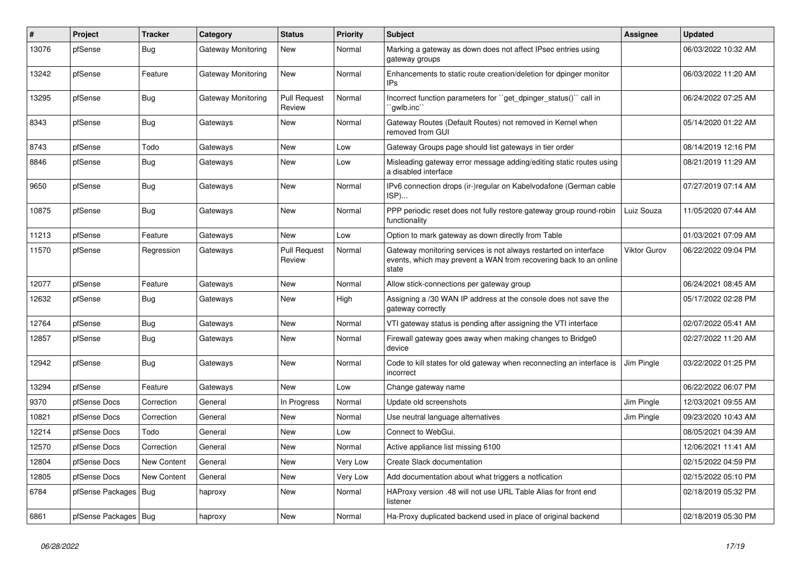| $\sharp$ | Project                | <b>Tracker</b>     | Category           | <b>Status</b>                 | Priority | <b>Subject</b>                                                                                                                                 | <b>Assignee</b>     | <b>Updated</b>      |
|----------|------------------------|--------------------|--------------------|-------------------------------|----------|------------------------------------------------------------------------------------------------------------------------------------------------|---------------------|---------------------|
| 13076    | pfSense                | Bug                | Gateway Monitoring | New                           | Normal   | Marking a gateway as down does not affect IPsec entries using<br>gateway groups                                                                |                     | 06/03/2022 10:32 AM |
| 13242    | pfSense                | Feature            | Gateway Monitoring | <b>New</b>                    | Normal   | Enhancements to static route creation/deletion for dpinger monitor<br>IP <sub>S</sub>                                                          |                     | 06/03/2022 11:20 AM |
| 13295    | pfSense                | <b>Bug</b>         | Gateway Monitoring | <b>Pull Request</b><br>Review | Normal   | Incorrect function parameters for "get_dpinger_status()" call in<br>`qwlb.inc``                                                                |                     | 06/24/2022 07:25 AM |
| 8343     | pfSense                | <b>Bug</b>         | Gateways           | <b>New</b>                    | Normal   | Gateway Routes (Default Routes) not removed in Kernel when<br>removed from GUI                                                                 |                     | 05/14/2020 01:22 AM |
| 8743     | pfSense                | Todo               | Gateways           | <b>New</b>                    | Low      | Gateway Groups page should list gateways in tier order                                                                                         |                     | 08/14/2019 12:16 PM |
| 8846     | pfSense                | Bug                | Gateways           | New                           | Low      | Misleading gateway error message adding/editing static routes using<br>a disabled interface                                                    |                     | 08/21/2019 11:29 AM |
| 9650     | pfSense                | Bug                | Gateways           | <b>New</b>                    | Normal   | IPv6 connection drops (ir-)regular on Kabelvodafone (German cable<br>ISP)                                                                      |                     | 07/27/2019 07:14 AM |
| 10875    | pfSense                | Bug                | Gateways           | <b>New</b>                    | Normal   | PPP periodic reset does not fully restore gateway group round-robin<br>functionality                                                           | Luiz Souza          | 11/05/2020 07:44 AM |
| 11213    | pfSense                | Feature            | Gateways           | <b>New</b>                    | Low      | Option to mark gateway as down directly from Table                                                                                             |                     | 01/03/2021 07:09 AM |
| 11570    | pfSense                | Regression         | Gateways           | <b>Pull Request</b><br>Review | Normal   | Gateway monitoring services is not always restarted on interface<br>events, which may prevent a WAN from recovering back to an online<br>state | <b>Viktor Gurov</b> | 06/22/2022 09:04 PM |
| 12077    | pfSense                | Feature            | Gateways           | <b>New</b>                    | Normal   | Allow stick-connections per gateway group                                                                                                      |                     | 06/24/2021 08:45 AM |
| 12632    | pfSense                | <b>Bug</b>         | Gateways           | <b>New</b>                    | High     | Assigning a /30 WAN IP address at the console does not save the<br>gateway correctly                                                           |                     | 05/17/2022 02:28 PM |
| 12764    | pfSense                | Bug                | Gateways           | New                           | Normal   | VTI gateway status is pending after assigning the VTI interface                                                                                |                     | 02/07/2022 05:41 AM |
| 12857    | pfSense                | <b>Bug</b>         | Gateways           | New                           | Normal   | Firewall gateway goes away when making changes to Bridge0<br>device                                                                            |                     | 02/27/2022 11:20 AM |
| 12942    | pfSense                | Bug                | Gateways           | New                           | Normal   | Code to kill states for old gateway when reconnecting an interface is<br>incorrect                                                             | Jim Pingle          | 03/22/2022 01:25 PM |
| 13294    | pfSense                | Feature            | Gateways           | <b>New</b>                    | Low      | Change gateway name                                                                                                                            |                     | 06/22/2022 06:07 PM |
| 9370     | pfSense Docs           | Correction         | General            | In Progress                   | Normal   | Update old screenshots                                                                                                                         | Jim Pingle          | 12/03/2021 09:55 AM |
| 10821    | pfSense Docs           | Correction         | General            | <b>New</b>                    | Normal   | Use neutral language alternatives                                                                                                              | Jim Pingle          | 09/23/2020 10:43 AM |
| 12214    | pfSense Docs           | Todo               | General            | <b>New</b>                    | Low      | Connect to WebGui.                                                                                                                             |                     | 08/05/2021 04:39 AM |
| 12570    | pfSense Docs           | Correction         | General            | <b>New</b>                    | Normal   | Active appliance list missing 6100                                                                                                             |                     | 12/06/2021 11:41 AM |
| 12804    | pfSense Docs           | <b>New Content</b> | General            | <b>New</b>                    | Very Low | Create Slack documentation                                                                                                                     |                     | 02/15/2022 04:59 PM |
| 12805    | pfSense Docs           | <b>New Content</b> | General            | <b>New</b>                    | Very Low | Add documentation about what triggers a notfication                                                                                            |                     | 02/15/2022 05:10 PM |
| 6784     | pfSense Packages       | Bug                | haproxy            | <b>New</b>                    | Normal   | HAProxy version .48 will not use URL Table Alias for front end<br>listener                                                                     |                     | 02/18/2019 05:32 PM |
| 6861     | pfSense Packages   Bug |                    | haproxy            | <b>New</b>                    | Normal   | Ha-Proxy duplicated backend used in place of original backend                                                                                  |                     | 02/18/2019 05:30 PM |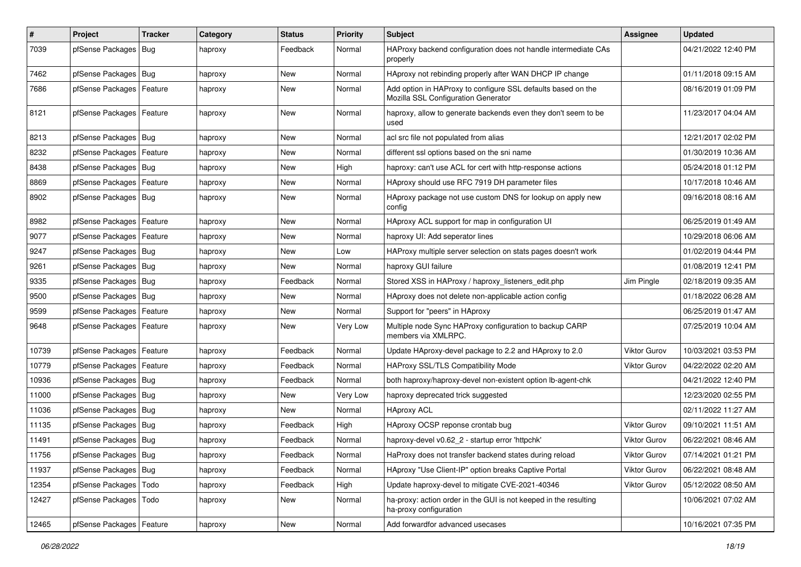| #     | Project                    | <b>Tracker</b> | Category | <b>Status</b> | <b>Priority</b> | <b>Subject</b>                                                                                      | <b>Assignee</b>     | <b>Updated</b>      |
|-------|----------------------------|----------------|----------|---------------|-----------------|-----------------------------------------------------------------------------------------------------|---------------------|---------------------|
| 7039  | pfSense Packages           | Bug            | haproxy  | Feedback      | Normal          | HAProxy backend configuration does not handle intermediate CAs<br>properly                          |                     | 04/21/2022 12:40 PM |
| 7462  | pfSense Packages   Bug     |                | haproxy  | New           | Normal          | HAproxy not rebinding properly after WAN DHCP IP change                                             |                     | 01/11/2018 09:15 AM |
| 7686  | pfSense Packages   Feature |                | haproxy  | New           | Normal          | Add option in HAProxy to configure SSL defaults based on the<br>Mozilla SSL Configuration Generator |                     | 08/16/2019 01:09 PM |
| 8121  | pfSense Packages           | Feature        | haproxy  | New           | Normal          | haproxy, allow to generate backends even they don't seem to be<br>used                              |                     | 11/23/2017 04:04 AM |
| 8213  | pfSense Packages   Bug     |                | haproxy  | New           | Normal          | acl src file not populated from alias                                                               |                     | 12/21/2017 02:02 PM |
| 8232  | pfSense Packages           | Feature        | haproxy  | <b>New</b>    | Normal          | different ssl options based on the sni name                                                         |                     | 01/30/2019 10:36 AM |
| 8438  | pfSense Packages   Bug     |                | haproxy  | New           | High            | haproxy: can't use ACL for cert with http-response actions                                          |                     | 05/24/2018 01:12 PM |
| 8869  | pfSense Packages           | Feature        | haproxy  | New           | Normal          | HAproxy should use RFC 7919 DH parameter files                                                      |                     | 10/17/2018 10:46 AM |
| 8902  | pfSense Packages   Bug     |                | haproxy  | New           | Normal          | HAproxy package not use custom DNS for lookup on apply new<br>config                                |                     | 09/16/2018 08:16 AM |
| 8982  | pfSense Packages           | Feature        | haproxy  | New           | Normal          | HAproxy ACL support for map in configuration UI                                                     |                     | 06/25/2019 01:49 AM |
| 9077  | pfSense Packages   Feature |                | haproxy  | New           | Normal          | haproxy UI: Add seperator lines                                                                     |                     | 10/29/2018 06:06 AM |
| 9247  | pfSense Packages   Bug     |                | haproxy  | New           | Low             | HAProxy multiple server selection on stats pages doesn't work                                       |                     | 01/02/2019 04:44 PM |
| 9261  | pfSense Packages   Bug     |                | haproxy  | New           | Normal          | haproxy GUI failure                                                                                 |                     | 01/08/2019 12:41 PM |
| 9335  | pfSense Packages   Bug     |                | haproxy  | Feedback      | Normal          | Stored XSS in HAProxy / haproxy_listeners_edit.php                                                  | Jim Pingle          | 02/18/2019 09:35 AM |
| 9500  | pfSense Packages   Bug     |                | haproxy  | New           | Normal          | HAproxy does not delete non-applicable action config                                                |                     | 01/18/2022 06:28 AM |
| 9599  | pfSense Packages           | Feature        | haproxy  | New           | Normal          | Support for "peers" in HAproxy                                                                      |                     | 06/25/2019 01:47 AM |
| 9648  | pfSense Packages   Feature |                | haproxy  | New           | Very Low        | Multiple node Sync HAProxy configuration to backup CARP<br>members via XMLRPC.                      |                     | 07/25/2019 10:04 AM |
| 10739 | pfSense Packages   Feature |                | haproxy  | Feedback      | Normal          | Update HAproxy-devel package to 2.2 and HAproxy to 2.0                                              | <b>Viktor Gurov</b> | 10/03/2021 03:53 PM |
| 10779 | pfSense Packages           | Feature        | haproxy  | Feedback      | Normal          | HAProxy SSL/TLS Compatibility Mode                                                                  | Viktor Gurov        | 04/22/2022 02:20 AM |
| 10936 | pfSense Packages   Bug     |                | haproxy  | Feedback      | Normal          | both haproxy/haproxy-devel non-existent option lb-agent-chk                                         |                     | 04/21/2022 12:40 PM |
| 11000 | pfSense Packages   Bug     |                | haproxy  | New           | <b>Very Low</b> | haproxy deprecated trick suggested                                                                  |                     | 12/23/2020 02:55 PM |
| 11036 | pfSense Packages   Bug     |                | haproxy  | New           | Normal          | <b>HAproxy ACL</b>                                                                                  |                     | 02/11/2022 11:27 AM |
| 11135 | pfSense Packages   Bug     |                | haproxy  | Feedback      | High            | HAproxy OCSP reponse crontab bug                                                                    | Viktor Gurov        | 09/10/2021 11:51 AM |
| 11491 | pfSense Packages   Bug     |                | haproxy  | Feedback      | Normal          | haproxy-devel v0.62_2 - startup error 'httpchk'                                                     | Viktor Gurov        | 06/22/2021 08:46 AM |
| 11756 | pfSense Packages   Bug     |                | haproxy  | Feedback      | Normal          | HaProxy does not transfer backend states during reload                                              | Viktor Gurov        | 07/14/2021 01:21 PM |
| 11937 | pfSense Packages   Bug     |                | haproxy  | Feedback      | Normal          | HAproxy "Use Client-IP" option breaks Captive Portal                                                | Viktor Gurov        | 06/22/2021 08:48 AM |
| 12354 | pfSense Packages           | Todo           | haproxy  | Feedback      | High            | Update haproxy-devel to mitigate CVE-2021-40346                                                     | Viktor Gurov        | 05/12/2022 08:50 AM |
| 12427 | pfSense Packages   Todo    |                | haproxy  | New           | Normal          | ha-proxy: action order in the GUI is not keeped in the resulting<br>ha-proxy configuration          |                     | 10/06/2021 07:02 AM |
| 12465 | pfSense Packages           | Feature        | haproxy  | New           | Normal          | Add forwardfor advanced usecases                                                                    |                     | 10/16/2021 07:35 PM |